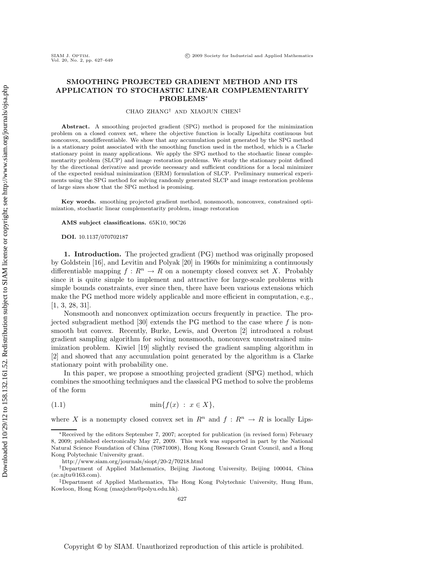## **SMOOTHING PROJECTED GRADIENT METHOD AND ITS APPLICATION TO STOCHASTIC LINEAR COMPLEMENTARITY PROBLEMS**<sup>∗</sup>

CHAO ZHANG† AND XIAOJUN CHEN‡

**Abstract.** A smoothing projected gradient (SPG) method is proposed for the minimization problem on a closed convex set, where the objective function is locally Lipschitz continuous but nonconvex, nondifferentiable. We show that any accumulation point generated by the SPG method is a stationary point associated with the smoothing function used in the method, which is a Clarke stationary point in many applications. We apply the SPG method to the stochastic linear complementarity problem (SLCP) and image restoration problems. We study the stationary point defined by the directional derivative and provide necessary and sufficient conditions for a local minimizer of the expected residual minimization (ERM) formulation of SLCP. Preliminary numerical experiments using the SPG method for solving randomly generated SLCP and image restoration problems of large sizes show that the SPG method is promising.

**Key words.** smoothing projected gradient method, nonsmooth, nonconvex, constrained optimization, stochastic linear complementarity problem, image restoration

**AMS subject classifications.** 65K10, 90C26

**DOI.** 10.1137/070702187

**1. Introduction.** The projected gradient (PG) method was originally proposed by Goldstein [16], and Levitin and Polyak [20] in 1960s for minimizing a continuously differentiable mapping  $f: R^n \to R$  on a nonempty closed convex set X. Probably since it is quite simple to implement and attractive for large-scale problems with simple bounds constraints, ever since then, there have been various extensions which make the PG method more widely applicable and more efficient in computation, e.g., [1, 3, 28, 31].

Nonsmooth and nonconvex optimization occurs frequently in practice. The projected subgradient method [30] extends the PG method to the case where  $f$  is nonsmooth but convex. Recently, Burke, Lewis, and Overton [2] introduced a robust gradient sampling algorithm for solving nonsmooth, nonconvex unconstrained minimization problem. Kiwiel [19] slightly revised the gradient sampling algorithm in [2] and showed that any accumulation point generated by the algorithm is a Clarke stationary point with probability one.

In this paper, we propose a smoothing projected gradient (SPG) method, which combines the smoothing techniques and the classical PG method to solve the problems of the form

(1.1) 
$$
\min\{f(x) : x \in X\},\
$$

where X is a nonempty closed convex set in  $R^n$  and  $f: R^n \to R$  is locally Lips-

<sup>∗</sup>Received by the editors September 7, 2007; accepted for publication (in revised form) February 8, 2009; published electronically May 27, 2009. This work was supported in part by the National Natural Science Foundation of China (70871008), Hong Kong Research Grant Council, and a Hong Kong Polytechnic University grant.

http://www.siam.org/journals/siopt/20-2/70218.html

<sup>†</sup>Department of Applied Mathematics, Beijing Jiaotong University, Beijing 100044, China (zc.njtu@163.com).

<sup>‡</sup>Department of Applied Mathematics, The Hong Kong Polytechnic University, Hung Hum, Kowloon, Hong Kong (maxjchen@polyu.edu.hk).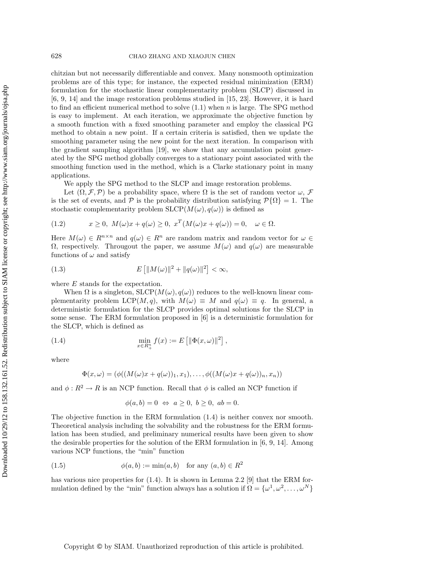chitzian but not necessarily differentiable and convex. Many nonsmooth optimization problems are of this type; for instance, the expected residual minimization (ERM) formulation for the stochastic linear complementarity problem (SLCP) discussed in [6, 9, 14] and the image restoration problems studied in [15, 23]. However, it is hard to find an efficient numerical method to solve  $(1.1)$  when n is large. The SPG method is easy to implement. At each iteration, we approximate the objective function by a smooth function with a fixed smoothing parameter and employ the classical PG method to obtain a new point. If a certain criteria is satisfied, then we update the smoothing parameter using the new point for the next iteration. In comparison with the gradient sampling algorithm [19], we show that any accumulation point generated by the SPG method globally converges to a stationary point associated with the smoothing function used in the method, which is a Clarke stationary point in many applications.

We apply the SPG method to the SLCP and image restoration problems.

Let  $(\Omega, \mathcal{F}, \mathcal{P})$  be a probability space, where  $\Omega$  is the set of random vector  $\omega$ ,  $\mathcal{F}$ is the set of events, and P is the probability distribution satisfying  $\mathcal{P}{\Omega} = 1$ . The stochastic complementarity problem  $SLCP(M(\omega), q(\omega))$  is defined as

$$
(1.2) \t x \ge 0, M(\omega)x + q(\omega) \ge 0, x^T(M(\omega)x + q(\omega)) = 0, \quad \omega \in \Omega.
$$

Here  $M(\omega) \in R^{n \times n}$  and  $q(\omega) \in R^n$  are random matrix and random vector for  $\omega \in$ Ω, respectively. Througout the paper, we assume  $M(\omega)$  and  $q(\omega)$  are measurable functions of  $\omega$  and satisfy

(1.3) 
$$
E\left[\|M(\omega)\|^2 + \|q(\omega)\|^2\right] < \infty,
$$

where E stands for the expectation.

When  $\Omega$  is a singleton,  $SLCP(M(\omega), q(\omega))$  reduces to the well-known linear complementarity problem LCP(M, q), with  $M(\omega) \equiv M$  and  $q(\omega) \equiv q$ . In general, a deterministic formulation for the SLCP provides optimal solutions for the SLCP in some sense. The ERM formulation proposed in [6] is a deterministic formulation for the SLCP, which is defined as

(1.4) 
$$
\min_{x \in R_+^n} f(x) := E \left[ \| \Phi(x, \omega) \|^2 \right],
$$

where

$$
\Phi(x,\omega)=(\phi((M(\omega)x+q(\omega))_1,x_1),\ldots,\phi((M(\omega)x+q(\omega))_n,x_n))
$$

and  $\phi: R^2 \to R$  is an NCP function. Recall that  $\phi$  is called an NCP function if

$$
\phi(a,b) = 0 \Leftrightarrow a \ge 0, b \ge 0, ab = 0.
$$

The objective function in the ERM formulation (1.4) is neither convex nor smooth. Theoretical analysis including the solvability and the robustness for the ERM formulation has been studied, and preliminary numerical results have been given to show the desirable properties for the solution of the ERM formulation in [6, 9, 14]. Among various NCP functions, the "min" function

(1.5) 
$$
\phi(a, b) := \min(a, b) \quad \text{for any } (a, b) \in R^2
$$

has various nice properties for  $(1.4)$ . It is shown in Lemma 2.2 [9] that the ERM formulation defined by the "min" function always has a solution if  $\Omega = {\omega^1, \omega^2, \dots, \omega^N}$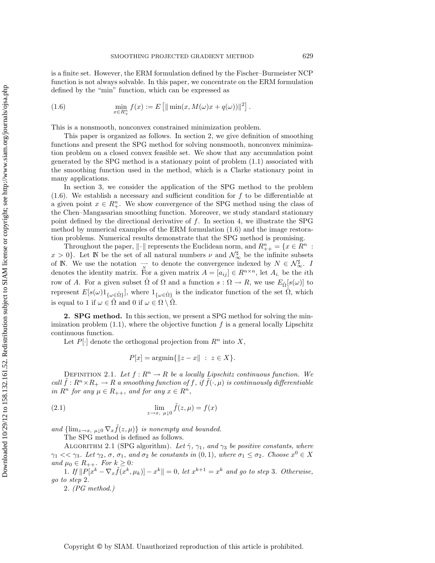is a finite set. However, the ERM formulation defined by the Fischer–Burmeister NCP function is not always solvable. In this paper, we concentrate on the ERM formulation defined by the "min" function, which can be expressed as

(1.6) 
$$
\min_{x \in R_+^n} f(x) := E \left[ \| \min(x, M(\omega)x + q(\omega)) \|^2 \right].
$$

This is a nonsmooth, nonconvex constrained minimization problem.

This paper is organized as follows. In section 2, we give definition of smoothing functions and present the SPG method for solving nonsmooth, nonconvex minimization problem on a closed convex feasible set. We show that any accumulation point generated by the SPG method is a stationary point of problem (1.1) associated with the smoothing function used in the method, which is a Clarke stationary point in many applications.

In section 3, we consider the application of the SPG method to the problem  $(1.6)$ . We establish a necessary and sufficient condition for f to be differentiable at a given point  $x \in R_+^n$ . We show convergence of the SPG method using the class of the Chen–Mangasarian smoothing function. Moreover, we study standard stationary point defined by the directional derivative of  $f$ . In section 4, we illustrate the SPG method by numerical examples of the ERM formulation (1.6) and the image restoration problems. Numerical results demonstrate that the SPG method is promising.

Throughout the paper,  $\|\cdot\|$  represents the Euclidean norm, and  $R_{++}^n = \{x \in \mathbb{R}^n :$  $x > 0$ . Let N be the set of all natural numbers  $\nu$  and  $\mathcal{N}_{\infty}^{\sharp}$  be the infinite subsets of N. We use the notation  $\rightarrow$  to denote the convergence indexed by  $N \in \mathcal{N}_{\infty}^{\sharp}$ . I denotes the identity matrix. For a given matrix  $A = [a_{ij}] \in R^{n \times n}$ , let  $A_i$  be the *i*th row of A. For a given subset  $\hat{\Omega}$  of  $\Omega$  and a function  $s : \Omega \to R$ , we use  $E_{\hat{\Omega}}[s(\omega)]$  to represent  $E[s(\omega)1_{\{\omega \in \hat{\Omega}\}}]$ , where  $1_{\{\omega \in \hat{\Omega}\}}$  is the indicator function of the set  $\hat{\Omega}$ , which is equal to 1 if  $\omega \in \hat{\Omega}$  and 0 if  $\omega \in \Omega \setminus \hat{\Omega}$ .

**2. SPG method.** In this section, we present a SPG method for solving the minimization problem  $(1.1)$ , where the objective function f is a general locally Lipschitz continuous function.

Let  $P[\cdot]$  denote the orthogonal projection from  $R^n$  into X,

$$
P[x] = \operatorname{argmin}\{\|z - x\| \ : \ z \in X\}.
$$

DEFINITION 2.1. Let  $f: \mathbb{R}^n \to \mathbb{R}$  be a locally Lipschitz continuous function. We *call*  $\tilde{f}: R^n \times R_+ \to R$  *a smoothing function of* f, if  $\tilde{f}(\cdot, \mu)$  *is continuously differentiable in*  $R^n$  *for any*  $\mu \in R_{++}$ *, and for any*  $x \in R^n$ *,* 

(2.1) 
$$
\lim_{z \to x, \ \mu \downarrow 0} \tilde{f}(z, \mu) = f(x)
$$

and  $\{\lim_{z\to x, \mu\downarrow 0} \nabla_x \tilde{f}(z,\mu)\}\$ is nonempty and bounded.

The SPG method is defined as follows.

ALGORITHM 2.1 (SPG algorithm). Let  $\hat{\gamma}$ ,  $\gamma_1$ , and  $\gamma_3$  be positive constants, where  $\gamma_1 << \gamma_3$ *. Let*  $\gamma_2$ *,*  $\sigma$ *,*  $\sigma_1$ *, and*  $\sigma_2$  *be constants in*  $(0,1)$ *, where*  $\sigma_1 \leq \sigma_2$ *. Choose*  $x^0 \in X$ *and*  $\mu_0 \in R_{++}$ *. For*  $k \geq 0$ *:* 

1. If  $||P[x^k - \nabla_x \tilde{f}(x^k, \mu_k)] - x^k|| = 0$ , let  $x^{k+1} = x^k$  and go to step 3. Otherwise, *go to step* 2*.*

2. *(PG method.)*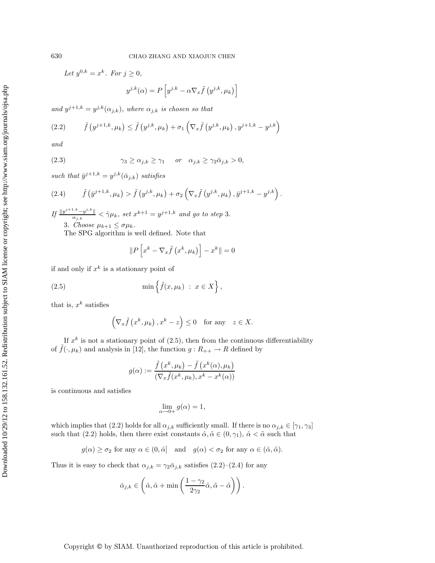*Let*  $y^{0,k} = x^k$ *. For*  $j \ge 0$ *,* 

$$
y^{j,k}(\alpha) = P\left[y^{j,k} - \alpha \nabla_x \tilde{f}\left(y^{j,k}, \mu_k\right)\right]
$$

and  $y^{j+1,k} = y^{j,k}(\alpha_{j,k})$ *, where*  $\alpha_{j,k}$  *is chosen so that* 

(2.2) 
$$
\tilde{f}(y^{j+1,k}, \mu_k) \leq \tilde{f}(y^{j,k}, \mu_k) + \sigma_1 \left( \nabla_x \tilde{f}(y^{j,k}, \mu_k), y^{j+1,k} - y^{j,k} \right)
$$

*and*

(2.3) 
$$
\gamma_3 \ge \alpha_{j,k} \ge \gamma_1 \quad or \quad \alpha_{j,k} \ge \gamma_2 \bar{\alpha}_{j,k} > 0,
$$

*such that*  $\bar{y}^{j+1,k} = y^{j,k}(\bar{\alpha}_{j,k})$  *satisfies* 

(2.4) 
$$
\tilde{f}(\bar{y}^{j+1,k},\mu_k) > \tilde{f}(y^{j,k},\mu_k) + \sigma_2\left(\nabla_x \tilde{f}(y^{j,k},\mu_k), \bar{y}^{j+1,k} - y^{j,k}\right).
$$

 $If \frac{\|y^{j+1,k}-y^{j,k}\|}{\alpha_{j,k}} < \hat{\gamma}\mu_k$ , set  $x^{k+1} = y^{j+1,k}$  and go to step 3. 3. *Choose*  $\mu_{k+1} \leq \sigma \mu_k$ .

The SPG algorithm is well defined. Note that

$$
\|P\left[x^k - \nabla_x \tilde{f}\left(x^k, \mu_k\right)\right] - x^k\| = 0
$$

if and only if  $x^k$  is a stationary point of

(2.5) 
$$
\min\left\{\tilde{f}(x,\mu_k)\;:\;x\in X\right\},\
$$

that is,  $x^k$  satisfies

$$
\left(\nabla_x \tilde{f}\left(x^k, \mu_k\right), x^k - z\right) \le 0 \quad \text{for any} \quad z \in X.
$$

If  $x^k$  is not a stationary point of (2.5), then from the continuous differentiability of  $\tilde{f}(\cdot,\mu_k)$  and analysis in [12], the function  $g: R_{++} \to R$  defined by

$$
g(\alpha) := \frac{\tilde{f}\left(x^k, \mu_k\right) - \tilde{f}\left(x^k(\alpha), \mu_k\right)}{\left(\nabla_x \tilde{f}(x^k, \mu_k), x^k - x^k(\alpha)\right)}
$$

is continuous and satisfies

$$
\lim_{\alpha \to 0+} g(\alpha) = 1,
$$

which implies that (2.2) holds for all  $\alpha_{j,k}$  sufficiently small. If there is no  $\alpha_{j,k} \in [\gamma_1, \gamma_3]$ such that (2.2) holds, then there exist constants  $\hat{\alpha}, \tilde{\alpha} \in (0, \gamma_1), \hat{\alpha} < \tilde{\alpha}$  such that

$$
g(\alpha) \ge \sigma_2
$$
 for any  $\alpha \in (0, \hat{\alpha})$  and  $g(\alpha) < \sigma_2$  for any  $\alpha \in (\hat{\alpha}, \tilde{\alpha})$ .

Thus it is easy to check that  $\alpha_{j,k} = \gamma_2 \bar{\alpha}_{j,k}$  satisfies  $(2.2)$ – $(2.4)$  for any

$$
\bar{\alpha}_{j,k}\in \left(\hat{\alpha},\hat{\alpha}+\min\left(\frac{1-\gamma_2}{2\gamma_2}\hat{\alpha},\tilde{\alpha}-\hat{\alpha}\right)\right).
$$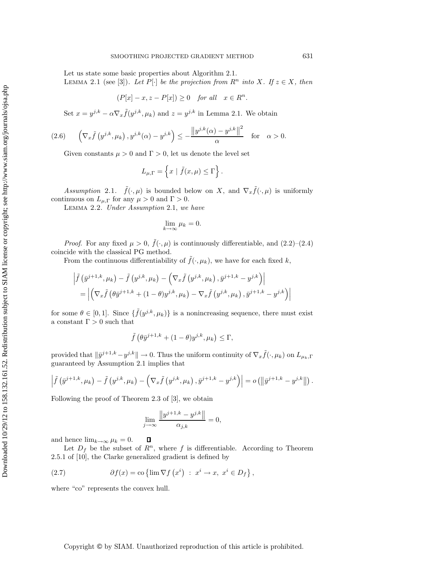Let us state some basic properties about Algorithm 2.1.

LEMMA 2.1 (see [3]). Let  $P[\cdot]$  be the projection from  $R^n$  into X. If  $z \in X$ , then

$$
(P[x] - x, z - P[x]) \ge 0 \quad for all \quad x \in R^n.
$$

Set  $x = y^{j,k} - \alpha \nabla_x \tilde{f}(y^{j,k}, \mu_k)$  and  $z = y^{j,k}$  in Lemma 2.1. We obtain

(2.6) 
$$
\left(\nabla_x \tilde{f}\left(y^{j,k}, \mu_k\right), y^{j,k}(\alpha) - y^{j,k}\right) \leq -\frac{\left\|y^{j,k}(\alpha) - y^{j,k}\right\|^2}{\alpha} \quad \text{for} \quad \alpha > 0.
$$

Given constants  $\mu > 0$  and  $\Gamma > 0$ , let us denote the level set

$$
L_{\mu,\Gamma} = \left\{ x \mid \tilde{f}(x,\mu) \leq \Gamma \right\}.
$$

*Assumption* 2.1.  $\tilde{f}(\cdot,\mu)$  is bounded below on X, and  $\nabla_x \tilde{f}(\cdot,\mu)$  is uniformly continuous on  $L_{\mu,\Gamma}$  for any  $\mu > 0$  and  $\Gamma > 0$ .

Lemma 2.2. *Under Assumption* 2.1, *we have*

$$
\lim_{k \to \infty} \mu_k = 0.
$$

*Proof.* For any fixed  $\mu > 0$ ,  $\tilde{f}(\cdot, \mu)$  is continuously differentiable, and  $(2.2)$ – $(2.4)$ coincide with the classical PG method.

From the continuous differentiability of  $\tilde{f}(\cdot, \mu_k)$ , we have for each fixed k,

$$
\left| \tilde{f} \left( \bar{y}^{j+1,k}, \mu_k \right) - \tilde{f} \left( y^{j,k}, \mu_k \right) - \left( \nabla_x \tilde{f} \left( y^{j,k}, \mu_k \right), \bar{y}^{j+1,k} - y^{j,k} \right) \right|
$$
  
= 
$$
\left| \left( \nabla_x \tilde{f} \left( \theta \bar{y}^{j+1,k} + (1-\theta) y^{j,k}, \mu_k \right) - \nabla_x \tilde{f} \left( y^{j,k}, \mu_k \right), \bar{y}^{j+1,k} - y^{j,k} \right) \right|
$$

for some  $\theta \in [0,1]$ . Since  $\{\tilde{f}(y^{j,k}, \mu_k)\}\$ is a nonincreasing sequence, there must exist a constant  $\Gamma > 0$  such that

$$
\tilde{f}(\theta \bar{y}^{j+1,k} + (1 - \theta)y^{j,k}, \mu_k) \le \Gamma,
$$

provided that  $\|\bar{y}^{j+1,k} - y^{j,k}\| \to 0$ . Thus the uniform continuity of  $\nabla_x \tilde{f}(\cdot, \mu_k)$  on  $L_{\mu_k, \Gamma}$ guaranteed by Assumption 2.1 implies that

$$
\left|\tilde{f}\left(\bar{y}^{j+1,k},\mu_k\right)-\tilde{f}\left(y^{j,k},\mu_k\right)-\left(\nabla_x\tilde{f}\left(y^{j,k},\mu_k\right),\bar{y}^{j+1,k}-y^{j,k}\right)\right|=o\left(\left\|\bar{y}^{j+1,k}-y^{j,k}\right\|\right).
$$

Following the proof of Theorem 2.3 of [3], we obtain

$$
\lim_{j \to \infty} \frac{\left\|y^{j+1,k} - y^{j,k}\right\|}{\alpha_{j,k}} = 0,
$$

and hence  $\lim_{k\to\infty} \mu_k = 0$ . 口

Let  $D_f$  be the subset of  $R^n$ , where f is differentiable. According to Theorem 2.5.1 of [10], the Clarke generalized gradient is defined by

(2.7) 
$$
\partial f(x) = \cos \left\{ \lim \nabla f\left(x^i\right) : x^i \to x, x^i \in D_f \right\},\,
$$

where "co" represents the convex hull.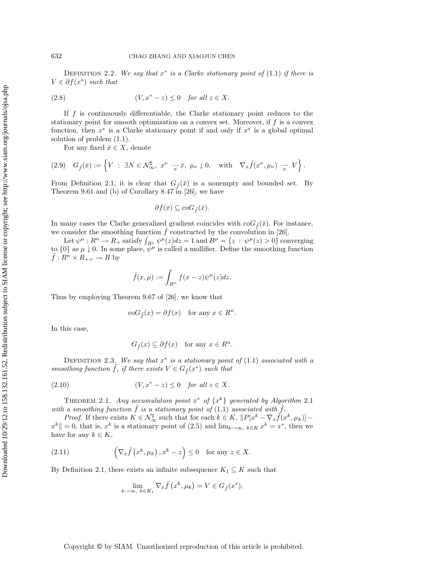Definition 2.2. *We say that* x<sup>∗</sup> *is a Clarke stationary point of* (1.1) *if there is*  $V \in \partial f(x^*)$  *such that* 

(V,x<sup>∗</sup> (2.8) − z) ≤ 0 *for all* z ∈ X.

If  $f$  is continuously differentiable, the Clarke stationary point reduces to the stationary point for smooth optimization on a convex set. Moreover, if f is a convex function, then  $x^*$  is a Clarke stationary point if and only if  $x^*$  is a global optimal solution of problem (1.1).

For any fixed  $\bar{x} \in X$ , denote

$$
(2.9) \quad G_{\tilde{f}}(\bar{x}) := \left\{ V \ : \ \exists N \in \mathcal{N}_{\infty}^{\sharp}, \ x^{\nu} \to \bar{x}, \ \mu_{\nu} \downarrow 0, \quad \text{with} \quad \nabla_x \tilde{f}(x^{\nu}, \mu_{\nu}) \to V \right\}.
$$

From Definition 2.1, it is clear that  $G_{\tilde{f}}(\bar{x})$  is a nonempty and bounded set. By Theorem 9.61 and (b) of Corollary 8.47 in [26], we have

$$
\partial f(\bar{x}) \subseteq \mathrm{co}G_{\tilde{f}}(\bar{x}).
$$

In many cases the Clarke generalized gradient coincides with  $\text{co}G_{\tilde{f}}(\bar{x})$ . For instance, we consider the smoothing function  $f$  constructed by the convolution in [26].

Let  $\psi^{\mu}: R^n \to R_+$  satisfy  $\int_{R^n} \psi^{\mu}(z) dz = 1$  and  $B^{\mu} = \{z : \psi^{\mu}(z) > 0\}$  converging to  $\{0\}$  as  $\mu \downarrow 0$ . In some place,  $\psi^{\mu}$  is called a mollifier. Define the smoothing function  $\tilde{f}: R^n \times R_{++} \to R$  by

$$
\tilde{f}(x,\mu) := \int_{R^n} f(x-z)\psi^{\mu}(z)dz.
$$

Thus by employing Theorem 9.67 of [26], we know that

$$
\operatorname{co} G_{\tilde{f}}(x) = \partial f(x) \quad \text{for any } x \in R^n.
$$

In this case,

$$
G_{\tilde{f}}(x) \subseteq \partial f(x) \quad \text{for any } x \in R^n.
$$

Definition 2.3. *We say that* x<sup>∗</sup> *is a stationary point of* (1.1) *associated with a smoothing function*  $\tilde{f}$ *, if there exists*  $V \in G_{\tilde{f}}(x^*)$  *such that* 

(V,x<sup>∗</sup> (2.10) − z) ≤ 0 *for all* z ∈ X.

THEOREM 2.1. *Any accumulation point*  $x^*$  *of*  $\{x^k\}$  *generated by Algorithm* 2.1 *with a smoothing function*  $f$  *is a stationary point of*  $(1.1)$  *associated with*  $f$ *.* 

*Proof.* If there exists  $K \in \mathcal{N}_{\infty}^{\sharp}$  such that for each  $k \in K$ ,  $||P[x^{k} - \nabla_{x} \tilde{f}(x^{k}, \mu_{k})]$  –  $x^k \equiv 0$ , that is,  $x^k$  is a stationary point of (2.5) and  $\lim_{k\to\infty, k\in K} x^k = x^*$ , then we have for any  $k \in K$ ,

(2.11) 
$$
\left(\nabla_x \tilde{f}\left(x^k, \mu_k\right), x^k - z\right) \leq 0 \quad \text{for any } z \in X.
$$

By Definition 2.1, there exists an infinite subsequence  $K_1 \subseteq K$  such that

$$
\lim_{k \to \infty, k \in K_1} \nabla_x \tilde{f}(x^k, \mu_k) = V \in G_{\tilde{f}}(x^*),
$$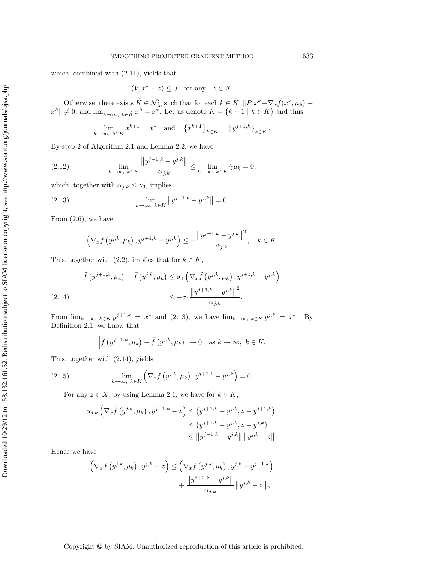which, combined with (2.11), yields that

$$
(V, x^* - z) \le 0 \quad \text{for any} \quad z \in X.
$$

Otherwise, there exists  $\hat{K} \in \mathcal{N}_{\infty}^{\sharp}$  such that for each  $k \in \hat{K}$ ,  $||P[x^{k}-\nabla_{x}\tilde{f}(x^{k}, \mu_{k})]$  $x^k \mid x \neq 0$ , and  $\lim_{k \to \infty, k \in \hat{K}} x^k = x^*$ . Let us denote  $K = \{k-1 \mid k \in \hat{K}\}\$  and thus

$$
\lim_{k \to \infty, k \in K} x^{k+1} = x^* \text{ and } \{x^{k+1}\}_{k \in K} = \{y^{j+1,k}\}_{k \in K}.
$$

By step 2 of Algorithm 2.1 and Lemma 2.2, we have

(2.12) 
$$
\lim_{k \to \infty, k \in K} \frac{\|y^{j+1,k} - y^{j,k}\|}{\alpha_{j,k}} \leq \lim_{k \to \infty, k \in K} \hat{\gamma} \mu_k = 0,
$$

which, together with  $\alpha_{j,k} \leq \gamma_3$ , implies

(2.13) 
$$
\lim_{k \to \infty, k \in K} \|y^{j+1,k} - y^{j,k}\| = 0.
$$

From  $(2.6)$ , we have

$$
\left(\nabla_x \tilde{f}\left(y^{j,k}, \mu_k\right), y^{j+1,k} - y^{j,k}\right) \le -\frac{\left\|y^{j+1,k} - y^{j,k}\right\|^2}{\alpha_{j,k}}, \quad k \in K.
$$

This, together with  $(2.2)$ , implies that for  $k \in K$ ,

$$
\tilde{f}(y^{j+1,k}, \mu_k) - \tilde{f}(y^{j,k}, \mu_k) \le \sigma_1 \left( \nabla_x \tilde{f}(y^{j,k}, \mu_k), y^{j+1,k} - y^{j,k} \right) \\
\le -\sigma_1 \frac{\|y^{j+1,k} - y^{j,k}\|^2}{\alpha_{j,k}}.
$$
\n(2.14)

From  $\lim_{k\to\infty, k\in K} y^{j+1,k} = x^*$  and (2.13), we have  $\lim_{k\to\infty, k\in K} y^{j,k} = x^*$ . By Definition 2.1, we know that

$$
\left| \tilde{f}(y^{j+1,k}, \mu_k) - \tilde{f}(y^{j,k}, \mu_k) \right| \to 0 \text{ as } k \to \infty, k \in K.
$$

This, together with (2.14), yields

(2.15) 
$$
\lim_{k \to \infty, k \in K} \left( \nabla_x \tilde{f} \left( y^{j,k}, \mu_k \right), y^{j+1,k} - y^{j,k} \right) = 0.
$$

For any  $z \in X$ , by using Lemma 2.1, we have for  $k \in K$ ,

$$
\alpha_{j,k} \left( \nabla_x \tilde{f} \left( y^{j,k}, \mu_k \right), y^{j+1,k} - z \right) \le (y^{j+1,k} - y^{j,k}, z - y^{j+1,k})
$$
  

$$
\le (y^{j+1,k} - y^{j,k}, z - y^{j,k})
$$
  

$$
\le ||y^{j+1,k} - y^{j,k}|| \, ||y^{j,k} - z||.
$$

Hence we have

$$
\left(\nabla_x \tilde{f}\left(y^{j,k}, \mu_k\right), y^{j,k} - z\right) \leq \left(\nabla_x \tilde{f}\left(y^{j,k}, \mu_k\right), y^{j,k} - y^{j+1,k}\right) + \frac{\left\|y^{j+1,k} - y^{j,k}\right\|}{\alpha_{j,k}} \left\|y^{j,k} - z\right\|,
$$

Copyright © by SIAM. Unauthorized reproduction of this article is prohibited.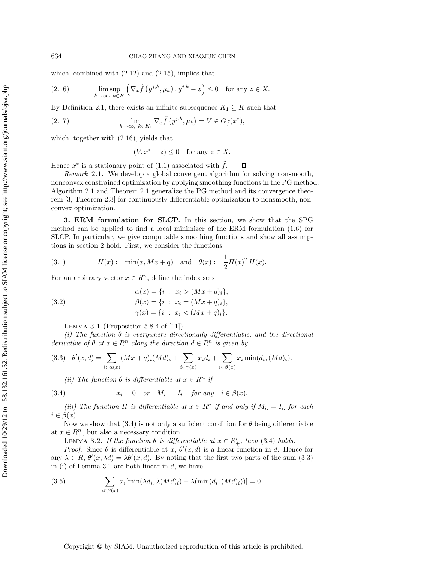which, combined with  $(2.12)$  and  $(2.15)$ , implies that

(2.16) 
$$
\limsup_{k \to \infty, k \in K} \left( \nabla_x \tilde{f} \left( y^{j,k}, \mu_k \right), y^{j,k} - z \right) \le 0 \text{ for any } z \in X.
$$

By Definition 2.1, there exists an infinite subsequence  $K_1 \subseteq K$  such that

(2.17) 
$$
\lim_{k \to \infty, k \in K_1} \nabla_x \tilde{f}(y^{j,k}, \mu_k) = V \in G_{\tilde{f}}(x^*),
$$

which, together with (2.16), yields that

$$
(V, x^* - z) \le 0 \quad \text{for any } z \in X.
$$

Hence  $x^*$  is a stationary point of (1.1) associated with  $\tilde{f}$ .  $\Box$ 

*Remark* 2.1. We develop a global convergent algorithm for solving nonsmooth, nonconvex constrained optimization by applying smoothing functions in the PG method. Algorithm 2.1 and Theorem 2.1 generalize the PG method and its convergence theorem [3, Theorem 2.3] for continuously differentiable optimization to nonsmooth, nonconvex optimization.

**3. ERM formulation for SLCP.** In this section, we show that the SPG method can be applied to find a local minimizer of the ERM formulation (1.6) for SLCP. In particular, we give computable smoothing functions and show all assumptions in section 2 hold. First, we consider the functions

(3.1) 
$$
H(x) := \min(x, Mx + q) \text{ and } \theta(x) := \frac{1}{2}H(x)^{T}H(x).
$$

For an arbitrary vector  $x \in R^n$ , define the index sets

(3.2) 
$$
\alpha(x) = \{i : x_i > (Mx + q)_i\},
$$

$$
\beta(x) = \{i : x_i = (Mx + q)_i\},
$$

$$
\gamma(x) = \{i : x_i < (Mx + q)_i\}.
$$

LEMMA 3.1 (Proposition 5.8.4 of  $[11]$ ).

*(i)* The function  $\theta$  *is everywhere directionally differentiable, and the directional derivative of*  $\theta$  *at*  $x \in \mathbb{R}^n$  *along the direction*  $d \in \mathbb{R}^n$  *is given by* 

$$
(3.3) \quad \theta'(x,d) = \sum_{i \in \alpha(x)} (Mx + q)_i (Md)_i + \sum_{i \in \gamma(x)} x_i d_i + \sum_{i \in \beta(x)} x_i \min(d_i, (Md)_i).
$$

*(ii)* The function  $\theta$  *is differentiable at*  $x \in R^n$  *if* 

(3.4) 
$$
x_i = 0 \quad or \quad M_i = I_i \quad for any \quad i \in \beta(x).
$$

*(iii)* The function H is differentiable at  $x \in \mathbb{R}^n$  if and only if  $M_i = I_i$  for each  $i \in \beta(x)$ .

Now we show that (3.4) is not only a sufficient condition for  $\theta$  being differentiable at  $x \in R^n_+$ , but also a necessary condition.

LEMMA 3.2. If the function  $\theta$  is differentiable at  $x \in R_{+}^n$ , then (3.4) holds.

*Proof.* Since  $\theta$  is differentiable at x,  $\theta'(x, d)$  is a linear function in d. Hence for any  $\lambda \in R$ ,  $\theta'(x, \lambda d) = \lambda \theta'(x, d)$ . By noting that the first two parts of the sum (3.3) in (i) of Lemma 3.1 are both linear in  $d$ , we have

(3.5) 
$$
\sum_{i \in \beta(x)} x_i [\min(\lambda d_i, \lambda (Md)_i) - \lambda (\min(d_i, (Md)_i))] = 0.
$$

Copyright © by SIAM. Unauthorized reproduction of this article is prohibited.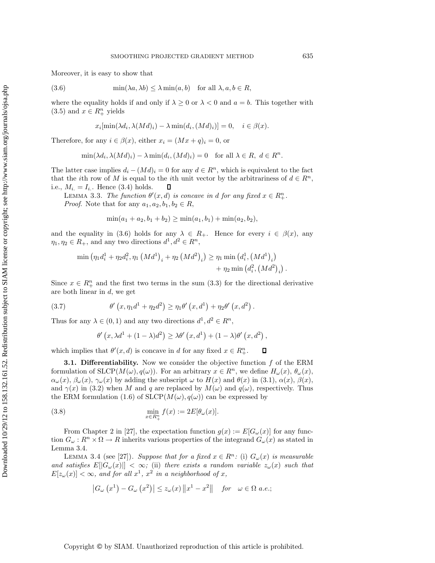Moreover, it is easy to show that

(3.6) 
$$
\min(\lambda a, \lambda b) \le \lambda \min(a, b) \quad \text{for all } \lambda, a, b \in R,
$$

where the equality holds if and only if  $\lambda \geq 0$  or  $\lambda < 0$  and  $a = b$ . This together with  $(3.5)$  and  $x \in \overline{R^n_+}$  yields

$$
x_i[\min(\lambda d_i, \lambda(Md)_i) - \lambda \min(d_i, (Md)_i)] = 0, \quad i \in \beta(x).
$$

Therefore, for any  $i \in \beta(x)$ , either  $x_i = (Mx + q)_i = 0$ , or

$$
\min(\lambda d_i, \lambda (Md)_i) - \lambda \min(d_i, (Md)_i) = 0 \text{ for all } \lambda \in R, d \in R^n.
$$

The latter case implies  $d_i - (Md)_i = 0$  for any  $d \in R^n$ , which is equivalent to the fact that the *i*th row of M is equal to the *i*th unit vector by the arbitrariness of  $d \in \mathbb{R}^n$ , i.e.,  $M_i = I_i$ . Hence (3.4) holds.

LEMMA 3.3. *The function*  $\theta'(x, d)$  *is concave in d for any fixed*  $x \in R_+^n$ . *Proof.* Note that for any  $a_1, a_2, b_1, b_2 \in R$ ,

$$
\min(a_1 + a_2, b_1 + b_2) \ge \min(a_1, b_1) + \min(a_2, b_2),
$$

and the equality in (3.6) holds for any  $\lambda \in R_+$ . Hence for every  $i \in \beta(x)$ , any  $\eta_1, \eta_2 \in R_+$ , and any two directions  $d^1, d^2 \in R^n$ ,

$$
\min (\eta_1 d_i^1 + \eta_2 d_i^2, \eta_1 (Md^1)_i + \eta_2 (Md^2)_i) \ge \eta_1 \min (d_i^1, (Md^1)_i) + \eta_2 \min (d_i^2, (Md^2)_i).
$$

Since  $x \in R^n_+$  and the first two terms in the sum (3.3) for the directional derivative are both linear in d, we get

(3.7) 
$$
\theta'(x, \eta_1 d^1 + \eta_2 d^2) \ge \eta_1 \theta'(x, d^1) + \eta_2 \theta'(x, d^2).
$$

Thus for any  $\lambda \in (0,1)$  and any two directions  $d^1, d^2 \in \mathbb{R}^n$ ,

$$
\theta'\left(x,\lambda d^1 + (1-\lambda)d^2\right) \geq \lambda \theta'\left(x,d^1\right) + (1-\lambda)\theta'\left(x,d^2\right),
$$

 $\Box$ 

which implies that  $\theta'(x, d)$  is concave in d for any fixed  $x \in R_{+}^{n}$ .

**3.1. Differentiability.** Now we consider the objective function f of the ERM formulation of  $SLCP(M(\omega), q(\omega))$ . For an arbitrary  $x \in R^n$ , we define  $H_{\omega}(x), \theta_{\omega}(x)$ ,  $\alpha_{\omega}(x), \beta_{\omega}(x), \gamma_{\omega}(x)$  by adding the subscript  $\omega$  to  $H(x)$  and  $\theta(x)$  in (3.1),  $\alpha(x), \beta(x),$ and  $\gamma(x)$  in (3.2) when M and q are replaced by  $M(\omega)$  and  $q(\omega)$ , respectively. Thus the ERM formulation (1.6) of  $SLCP(M(\omega), q(\omega))$  can be expressed by

(3.8) 
$$
\min_{x \in R_+^n} f(x) := 2E[\theta_\omega(x)].
$$

From Chapter 2 in [27], the expectation function  $g(x) := E[G_{\omega}(x)]$  for any function  $G_{\omega}: R^n \times \Omega \to R$  inherits various properties of the integrand  $G_{\omega}(x)$  as stated in Lemma 3.4.

LEMMA 3.4 (see [27]). *Suppose that for a fixed*  $x \in R^n$ : (i)  $G_{\omega}(x)$  *is measurable and satisfies*  $E[|G_{\omega}(x)|] < \infty$ ; (ii) there exists a random variable  $z_{\omega}(x)$  such that  $E[z_{\omega}(x)] < \infty$ , and for all  $x^1$ ,  $x^2$  in a neighborhood of x,

$$
\left|G_{\omega}\left(x^{1}\right)-G_{\omega}\left(x^{2}\right)\right| \leq z_{\omega}(x)\left\|x^{1}-x^{2}\right\| \quad for \quad \omega \in \Omega \ a.e.;
$$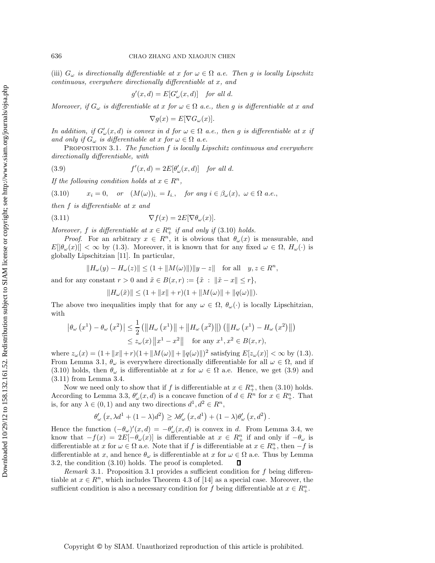(iii)  $G_{\omega}$  *is directionally differentiable at* x *for*  $\omega \in \Omega$  *a.e.* Then g *is locally Lipschitz continuous, everywhere directionally differentiable at* x*, and*

$$
g'(x,d) = E[G'_{\omega}(x,d)] \text{ for all } d.
$$

*Moreover, if*  $G_{\omega}$  *is differentiable at* x *for*  $\omega \in \Omega$  *a.e., then* g *is differentiable at* x *and* 

$$
\nabla g(x) = E[\nabla G_{\omega}(x)].
$$

*In addition, if*  $G'_{\omega}(x, d)$  *is convex in* d *for*  $\omega \in \Omega$  *a.e., then* g *is differentiable at* x *if and only if*  $G_{\omega}$  *is differentiable at x for*  $\omega \in \Omega$  *a.e.* 

Proposition 3.1. *The function* f *is locally Lipschitz continuous and everywhere directionally differentiable, with*

(3.9) 
$$
f'(x,d) = 2E[\theta'_{\omega}(x,d)] \text{ for all } d.
$$

*If the following condition holds at*  $x \in \mathbb{R}^n$ ,

$$
(3.10) \t x_i = 0, \t or \t (M(\omega))_i = I_i, \t for any i \in \beta_\omega(x), \omega \in \Omega \t a.e.,
$$

*then* f *is differentiable at* x *and*

(3.11) 
$$
\nabla f(x) = 2E[\nabla \theta_{\omega}(x)].
$$

*Moreover,*  $f$  *is differentiable at*  $x \in R_+^n$  *if and only if* (3.10) *holds.* 

*Proof.* For an arbitrary  $x \in R^n$ , it is obvious that  $\theta_\omega(x)$  is measurable, and  $E[|\theta_{\omega}(x)|] < \infty$  by (1.3). Moreover, it is known that for any fixed  $\omega \in \Omega$ ,  $H_{\omega}(\cdot)$  is globally Lipschitzian [11]. In particular,

$$
||H_{\omega}(y) - H_{\omega}(z)|| \le (1 + ||M(\omega)||) ||y - z|| \text{ for all } y, z \in R^{n},
$$

and for any constant  $r > 0$  and  $\tilde{x} \in B(x, r) := \{\tilde{x} : ||\tilde{x} - x|| \leq r\},\$ 

$$
||H_{\omega}(\tilde{x})|| \leq (1 + ||x|| + r)(1 + ||M(\omega)|| + ||q(\omega)||).
$$

The above two inequalities imply that for any  $\omega \in \Omega$ ,  $\theta_{\omega}(\cdot)$  is locally Lipschitzian, with

$$
\left| \theta_{\omega} (x^{1}) - \theta_{\omega} (x^{2}) \right| \leq \frac{1}{2} \left( \left\| H_{\omega} (x^{1}) \right\| + \left\| H_{\omega} (x^{2}) \right\| \right) \left( \left\| H_{\omega} (x^{1}) - H_{\omega} (x^{2}) \right\| \right) \leq z_{\omega}(x) \left\| x^{1} - x^{2} \right\| \text{ for any } x^{1}, x^{2} \in B(x, r),
$$

where  $z_{\omega}(x) = (1 + ||x|| + r)(1 + ||M(\omega)|| + ||q(\omega)||)^2$  satisfying  $E[z_{\omega}(x)] < \infty$  by (1.3). From Lemma 3.1,  $\theta_{\omega}$  is everywhere directionally differentiable for all  $\omega \in \Omega$ , and if (3.10) holds, then  $\theta_{\omega}$  is differentiable at x for  $\omega \in \Omega$  a.e. Hence, we get (3.9) and (3.11) from Lemma 3.4.

Now we need only to show that if f is differentiable at  $x \in R^n_+$ , then (3.10) holds. According to Lemma 3.3,  $\theta'_{\omega}(x, d)$  is a concave function of  $d \in R^{n}$  for  $x \in R^{n}$ . That is, for any  $\lambda \in (0,1)$  and any two directions  $d^1, d^2 \in \mathbb{R}^n$ ,

$$
\theta'_{\omega}\left(x,\lambda d^1 + (1-\lambda)d^2\right) \geq \lambda \theta'_{\omega}\left(x,d^1\right) + (1-\lambda)\theta'_{\omega}\left(x,d^2\right).
$$

Hence the function  $(-\theta_\omega)'(x, d) = -\theta'_\omega(x, d)$  is convex in d. From Lemma 3.4, we know that  $-f(x) = 2E[-\theta_\omega(x)]$  is differentiable at  $x \in R^n_+$  if and only if  $-\theta_\omega$  is differentiable at x for  $\omega \in \Omega$  a.e. Note that if f is differentiable at  $x \in R^n_+$ , then  $-f$  is differentiable at x, and hence  $\theta_{\omega}$  is differentiable at x for  $\omega \in \Omega$  a.e. Thus by Lemma 3.2, the condition (3.10) holds. The proof is completed.  $\Box$ 

*Remark* 3.1. Proposition 3.1 provides a sufficient condition for f being differentiable at  $x \in \mathbb{R}^n$ , which includes Theorem 4.3 of [14] as a special case. Moreover, the sufficient condition is also a necessary condition for f being differentiable at  $x \in R^n_+$ .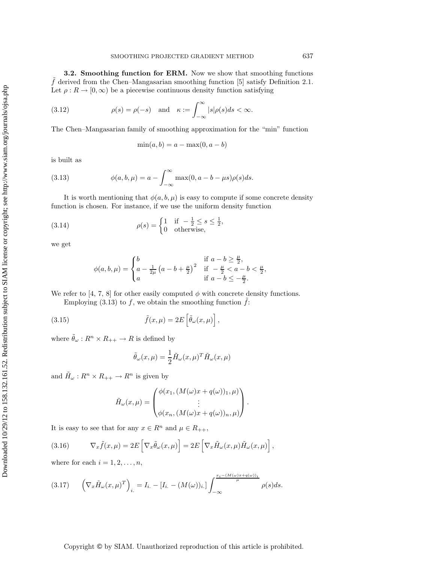**3.2. Smoothing function for ERM.** Now we show that smoothing functions  $\tilde{f}$  derived from the Chen–Mangasarian smoothing function [5] satisfy Definition 2.1. Let  $\rho: R \to [0, \infty)$  be a piecewise continuous density function satisfying

(3.12) 
$$
\rho(s) = \rho(-s) \quad \text{and} \quad \kappa := \int_{-\infty}^{\infty} |s| \rho(s) ds < \infty.
$$

The Chen–Mangasarian family of smoothing approximation for the "min" function

$$
\min(a, b) = a - \max(0, a - b)
$$

is built as

(3.13) 
$$
\phi(a,b,\mu) = a - \int_{-\infty}^{\infty} \max(0, a - b - \mu s) \rho(s) ds.
$$

It is worth mentioning that  $\phi(a, b, \mu)$  is easy to compute if some concrete density function is chosen. For instance, if we use the uniform density function

(3.14) 
$$
\rho(s) = \begin{cases} 1 & \text{if } -\frac{1}{2} \le s \le \frac{1}{2}, \\ 0 & \text{otherwise}, \end{cases}
$$

we get

$$
\phi(a, b, \mu) = \begin{cases} b & \text{if } a - b \ge \frac{\mu}{2}, \\ a - \frac{1}{2\mu} \left( a - b + \frac{\mu}{2} \right)^2 & \text{if } -\frac{\mu}{2} < a - b < \frac{\mu}{2}, \\ a & \text{if } a - b \le -\frac{\mu}{2}. \end{cases}
$$

We refer to [4, 7, 8] for other easily computed  $\phi$  with concrete density functions.

Employing (3.13) to f, we obtain the smoothing function  $\hat{f}$ :

(3.15) 
$$
\tilde{f}(x,\mu) = 2E\left[\tilde{\theta}_{\omega}(x,\mu)\right],
$$

where  $\tilde{\theta}_{\omega}: R^n \times R_{++} \to R$  is defined by

$$
\tilde{\theta}_{\omega}(x,\mu) = \frac{1}{2}\tilde{H}_{\omega}(x,\mu)^{T}\tilde{H}_{\omega}(x,\mu)
$$

and  $\tilde{H}_{\omega}: R^n \times R_{++} \to R^n$  is given by

$$
\tilde{H}_{\omega}(x,\mu) = \begin{pmatrix} \phi(x_1, (M(\omega)x + q(\omega))_1, \mu) \\ \vdots \\ \phi(x_n, (M(\omega)x + q(\omega))_n, \mu) \end{pmatrix}.
$$

It is easy to see that for any  $x \in R^n$  and  $\mu \in R_{++}$ ,

(3.16) 
$$
\nabla_x \tilde{f}(x,\mu) = 2E\left[\nabla_x \tilde{\theta}_\omega(x,\mu)\right] = 2E\left[\nabla_x \tilde{H}_\omega(x,\mu)\tilde{H}_\omega(x,\mu)\right],
$$

where for each  $i = 1, 2, \ldots, n$ ,

$$
(3.17) \qquad \left(\nabla_x \tilde{H}_{\omega}(x,\mu)^T\right)_i = I_i. - [I_i. - (M(\omega))_i.]\int_{-\infty}^{\frac{x_i - (M(\omega)x + q(\omega))_i}{\mu}} \rho(s)ds.
$$

## Copyright © by SIAM. Unauthorized reproduction of this article is prohibited.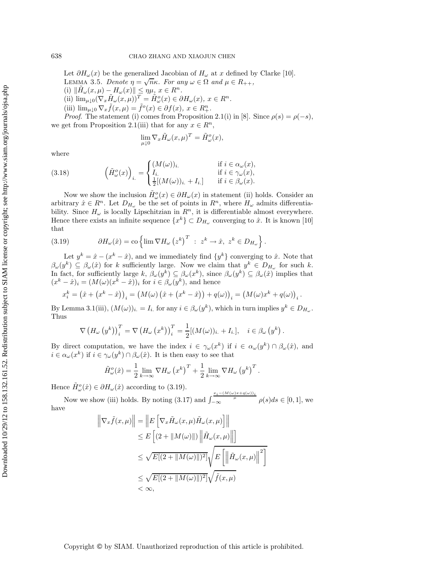Let  $\partial H_{\omega}(x)$  be the generalized Jacobian of  $H_{\omega}$  at x defined by Clarke [10]. LEMMA 3.5. *Denote*  $\eta = \sqrt{n\kappa}$ *. For any*  $\omega \in \Omega$  *and*  $\mu \in R_{++}$ *,* (i)  $\|\tilde{H}_{\omega}(x,\mu) - H_{\omega}(x)\| \leq \eta\mu, x \in \mathbb{R}^n$ . (ii)  $\lim_{\mu \downarrow 0} (\nabla_x \tilde{H}_\omega(x, \mu))^T = \tilde{H}_\omega^o(x) \in \partial H_\omega(x), x \in \mathbb{R}^n$ . (iii)  $\lim_{\mu \downarrow 0} \nabla_x \tilde{f}(x, \mu) = \tilde{f}^o(x) \in \partial f(x), x \in R_+^n$ . *Proof.* The statement (i) comes from Proposition 2.1(i) in [8]. Since  $\rho(s) = \rho(-s)$ , we get from Proposition 2.1(iii) that for any  $x \in R^n$ ,

$$
\lim_{\mu\downarrow 0}\nabla_x \tilde H_\omega(x,\mu)^T=\tilde H_\omega^o(x),
$$

where

(3.18) 
$$
\left(\tilde{H}_{\omega}^o(x)\right)_{i.} = \begin{cases} (M(\omega))_{i.} & \text{if } i \in \alpha_{\omega}(x), \\ I_{i.} & \text{if } i \in \gamma_{\omega}(x), \\ \frac{1}{2}[(M(\omega))_{i.} + I_{i.}] & \text{if } i \in \beta_{\omega}(x). \end{cases}
$$

Now we show the inclusion  $\tilde{H}_{\omega}^o(x) \in \partial H_{\omega}(x)$  in statement (ii) holds. Consider an arbitrary  $\hat{x} \in R^n$ . Let  $D_{H_{\omega}}$  be the set of points in  $R^n$ , where  $H_{\omega}$  admits differentiability. Since  $H_{\omega}$  is locally Lipschitzian in  $R<sup>n</sup>$ , it is differentiable almost everywhere. Hence there exists an infinite sequence  $\{x^k\} \subset D_{H_{\omega}}$  converging to  $\hat{x}$ . It is known [10] that

(3.19) 
$$
\partial H_{\omega}(\hat{x}) = \text{co}\left\{\lim \nabla H_{\omega} (z^k)^T : z^k \to \hat{x}, z^k \in D_{H_{\omega}}\right\}.
$$

Let  $y^k = \hat{x} - (x^k - \hat{x})$ , and we immediately find  $\{y^k\}$  converging to  $\hat{x}$ . Note that  $\beta_{\omega}(y^k) \subseteq \beta_{\omega}(\hat{x})$  for k sufficiently large. Now we claim that  $y^k \in D_{H_{\omega}}$  for such k. In fact, for sufficiently large k,  $\beta_{\omega}(y^k) \subseteq \beta_{\omega}(x^k)$ , since  $\beta_{\omega}(y^k) \subseteq \beta_{\omega}(\hat{x})$  implies that  $(x^{k} - \hat{x})_{i} = (M(\omega)(x^{k} - \hat{x}))_{i}$  for  $i \in \beta_{\omega}(y^{k})$ , and hence

$$
x_i^k = (\hat{x} + (x^k - \hat{x}))_i = (M(\omega) (\hat{x} + (x^k - \hat{x})) + q(\omega))_i = (M(\omega)x^k + q(\omega))_i.
$$

By Lemma 3.1(iii),  $(M(\omega))_i = I_i$  for any  $i \in \beta_\omega(y^k)$ , which in turn implies  $y^k \in D_{H_\omega}$ . Thus

$$
\nabla \left( H_{\omega} \left( y^{k} \right) \right)_{i}^{T} = \nabla \left( H_{\omega} \left( x^{k} \right) \right)_{i}^{T} = \frac{1}{2} [(M(\omega))_{i.} + I_{i.}], \quad i \in \beta_{\omega} \left( y^{k} \right).
$$

By direct computation, we have the index  $i \in \gamma_\omega(x^k)$  if  $i \in \alpha_\omega(y^k) \cap \beta_\omega(\hat{x})$ , and  $i \in \alpha_\omega(x^k)$  if  $i \in \gamma_\omega(y^k) \cap \beta_\omega(\hat{x})$ . It is then easy to see that

$$
\tilde{H}^{o}_{\omega}(\hat{x}) = \frac{1}{2} \lim_{k \to \infty} \nabla H_{\omega} (x^{k})^{T} + \frac{1}{2} \lim_{k \to \infty} \nabla H_{\omega} (y^{k})^{T}.
$$

Hence  $\tilde{H}^o_\omega(\hat{x}) \in \partial H_\omega(\hat{x})$  according to (3.19).

Now we show (iii) holds. By noting (3.17) and  $\int_{-\infty}^{\frac{x_i-(M(\omega)x+q(\omega))_i}{\mu}} \rho(s)ds \in [0,1]$ , we have

$$
\|\nabla_x \tilde{f}(x,\mu)\| = \|E\left[\nabla_x \tilde{H}_{\omega}(x,\mu)\tilde{H}_{\omega}(x,\mu)\right]\|
$$
  
\n
$$
\leq E\left[(2 + \|M(\omega)\|) \| \tilde{H}_{\omega}(x,\mu)\right]
$$
  
\n
$$
\leq \sqrt{E[(2 + \|M(\omega)\|)^2]} \sqrt{E\left[\left\|\tilde{H}_{\omega}(x,\mu)\right\|^2\right]}
$$
  
\n
$$
\leq \sqrt{E[(2 + \|M(\omega)\|)^2]} \sqrt{\tilde{f}(x,\mu)}
$$
  
\n
$$
< \infty,
$$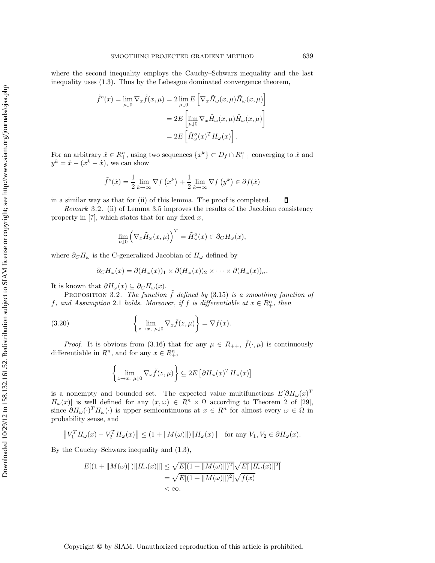where the second inequality employs the Cauchy–Schwarz inequality and the last inequality uses (1.3). Thus by the Lebesgue dominated convergence theorem,

$$
\tilde{f}^o(x) = \lim_{\mu \downarrow 0} \nabla_x \tilde{f}(x, \mu) = 2 \lim_{\mu \downarrow 0} E \left[ \nabla_x \tilde{H}_{\omega}(x, \mu) \tilde{H}_{\omega}(x, \mu) \right]
$$

$$
= 2E \left[ \lim_{\mu \downarrow 0} \nabla_x \tilde{H}_{\omega}(x, \mu) \tilde{H}_{\omega}(x, \mu) \right]
$$

$$
= 2E \left[ \tilde{H}_{\omega}^o(x)^T H_{\omega}(x) \right].
$$

For an arbitrary  $\hat{x} \in R_+^n$ , using two sequences  $\{x^k\} \subset D_f \cap R_{++}^n$  converging to  $\hat{x}$  and  $y^k = \hat{x} - (x^k - \hat{x})$ , we can show

$$
\tilde{f}^o(\hat{x}) = \frac{1}{2} \lim_{k \to \infty} \nabla f(x^k) + \frac{1}{2} \lim_{k \to \infty} \nabla f(y^k) \in \partial f(\hat{x})
$$

in a similar way as that for (ii) of this lemma. The proof is completed.

*Remark* 3.2. (ii) of Lemma 3.5 improves the results of the Jacobian consistency property in [7], which states that for any fixed  $x$ ,

$$
\lim_{\mu \downarrow 0} \left( \nabla_x \tilde{H}_{\omega}(x,\mu) \right)^T = \tilde{H}_{\omega}^o(x) \in \partial_C H_{\omega}(x),
$$

where  $\partial_C H_\omega$  is the C-generalized Jacobian of  $H_\omega$  defined by

$$
\partial_C H_{\omega}(x) = \partial (H_{\omega}(x))_1 \times \partial (H_{\omega}(x))_2 \times \cdots \times \partial (H_{\omega}(x))_n.
$$

It is known that  $\partial H_{\omega}(x) \subseteq \partial_C H_{\omega}(x)$ .

**PROPOSITION** 3.2. *The function*  $\tilde{f}$  *defined by* (3.15) *is a smoothing function of*  $f$ , and Assumption 2.1 *holds.* Moreover, if  $f$  is differentiable at  $x \in R_+^n$ , then

(3.20) 
$$
\left\{\lim_{z\to x, \ \mu\downarrow 0} \nabla_x \tilde{f}(z,\mu)\right\} = \nabla f(x).
$$

*Proof.* It is obvious from (3.16) that for any  $\mu \in R_{++}$ ,  $\tilde{f}(\cdot, \mu)$  is continuously differentiable in  $R^n$ , and for any  $x \in R^n_+$ ,

$$
\left\{\lim_{z\to x, \ \mu\downarrow 0} \nabla_x \tilde{f}(z,\mu)\right\} \subseteq 2E\left[\partial H_{\omega}(x)^T H_{\omega}(x)\right]
$$

is a nonempty and bounded set. The expected value multifunctions  $E[\partial H_{\omega}(x)^T]$  $H_{\omega}(x)$  is well defined for any  $(x,\omega) \in R^n \times \Omega$  according to Theorem 2 of [29], since  $\partial H_{\omega}(\cdot)^{T} H_{\omega}(\cdot)$  is upper semicontinuous at  $x \in \mathbb{R}^{n}$  for almost every  $\omega \in \Omega$  in probability sense, and

$$
\left\|V_1^T H_{\omega}(x) - V_2^T H_{\omega}(x)\right\| \le (1 + \|M(\omega)\|) \|H_{\omega}(x)\| \quad \text{for any } V_1, V_2 \in \partial H_{\omega}(x).
$$

By the Cauchy–Schwarz inequality and (1.3),

$$
E[(1 + ||M(\omega)||)||H_{\omega}(x)||] \le \sqrt{E[(1 + ||M(\omega)||)^{2}]} \sqrt{E[||H_{\omega}(x)||^{2}]}
$$
  
=  $\sqrt{E[(1 + ||M(\omega)||)^{2}]} \sqrt{f(x)}$   
<  $\infty$ .

Copyright © by SIAM. Unauthorized reproduction of this article is prohibited.

 $\Box$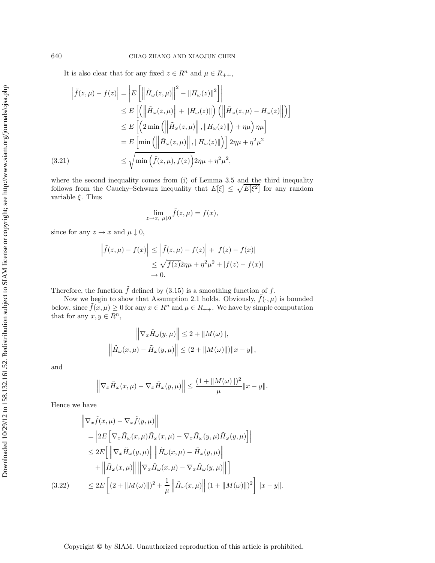It is also clear that for any fixed  $z \in \mathbb{R}^n$  and  $\mu \in \mathbb{R}_{++}$ ,

$$
\left| \tilde{f}(z,\mu) - f(z) \right| = \left| E\left[ \left\| \tilde{H}_{\omega}(z,\mu) \right\|^{2} - \left\| H_{\omega}(z) \right\|^{2} \right] \right|
$$
  
\n
$$
\leq E\left[ \left( \left\| \tilde{H}_{\omega}(z,\mu) \right\| + \left\| H_{\omega}(z) \right\| \right) \left( \left\| \tilde{H}_{\omega}(z,\mu) - H_{\omega}(z) \right\| \right) \right]
$$
  
\n
$$
\leq E\left[ \left( 2 \min \left( \left\| \tilde{H}_{\omega}(z,\mu) \right\|, \left\| H_{\omega}(z) \right\| \right) + \eta \mu \right) \eta \mu \right]
$$
  
\n
$$
= E\left[ \min \left( \left\| \tilde{H}_{\omega}(z,\mu) \right\|, \left\| H_{\omega}(z) \right\| \right) \right] 2\eta \mu + \eta^{2} \mu^{2}
$$
  
\n(3.21)  
\n
$$
\leq \sqrt{\min \left( \tilde{f}(z,\mu), f(z) \right)} 2\eta \mu + \eta^{2} \mu^{2},
$$

where the second inequality comes from (i) of Lemma 3.5 and the third inequality follows from the Cauchy–Schwarz inequality that  $E[\xi] \leq \sqrt{E[\xi^2]}$  for any random variable  $\xi$ . Thus

$$
\lim_{z \to x, \ \mu \downarrow 0} \tilde{f}(z, \mu) = f(x),
$$

since for any  $z \to x$  and  $\mu \downarrow 0$ ,

$$
\left| \tilde{f}(z,\mu) - f(x) \right| \le \left| \tilde{f}(z,\mu) - f(z) \right| + |f(z) - f(x)|
$$
  

$$
\le \sqrt{f(z)} 2\eta \mu + \eta^2 \mu^2 + |f(z) - f(x)|
$$
  

$$
\to 0.
$$

Therefore, the function  $\tilde{f}$  defined by (3.15) is a smoothing function of f.

Now we begin to show that Assumption 2.1 holds. Obviously,  $\tilde{f}(\cdot,\mu)$  is bounded below, since  $\hat{f}(x,\mu) \geq 0$  for any  $x \in \mathbb{R}^n$  and  $\mu \in \mathbb{R}_{++}$ . We have by simple computation that for any  $x, y \in R^n$ ,

$$
\left\|\nabla_x \tilde{H}_{\omega}(y,\mu)\right\| \le 2 + \|M(\omega)\|,
$$
  

$$
\left\|\tilde{H}_{\omega}(x,\mu) - \tilde{H}_{\omega}(y,\mu)\right\| \le (2 + \|M(\omega)\|)\|x - y\|,
$$

and

$$
\left\|\nabla_x \tilde{H}_{\omega}(x,\mu) - \nabla_x \tilde{H}_{\omega}(y,\mu)\right\| \le \frac{(1 + \|M(\omega)\|)^2}{\mu} \|x - y\|.
$$

Hence we have

$$
\begin{aligned}\n\left\| \nabla_x \tilde{f}(x,\mu) - \nabla_x \tilde{f}(y,\mu) \right\| \\
&= \left| 2E \left[ \nabla_x \tilde{H}_{\omega}(x,\mu) \tilde{H}_{\omega}(x,\mu) - \nabla_x \tilde{H}_{\omega}(y,\mu) \tilde{H}_{\omega}(y,\mu) \right] \right| \\
&\leq 2E \left[ \left\| \nabla_x \tilde{H}_{\omega}(y,\mu) \right\| \left\| \tilde{H}_{\omega}(x,\mu) - \tilde{H}_{\omega}(y,\mu) \right\| \right. \\
&\left. + \left\| \tilde{H}_{\omega}(x,\mu) \right\| \left\| \nabla_x \tilde{H}_{\omega}(x,\mu) - \nabla_x \tilde{H}_{\omega}(y,\mu) \right\| \right]\n\end{aligned}
$$
\n(3.22)\n
$$
\leq 2E \left[ (2 + \|M(\omega)\|)^2 + \frac{1}{\mu} \left\| \tilde{H}_{\omega}(x,\mu) \right\| (1 + \|M(\omega)\|)^2 \right] \|x - y\|.
$$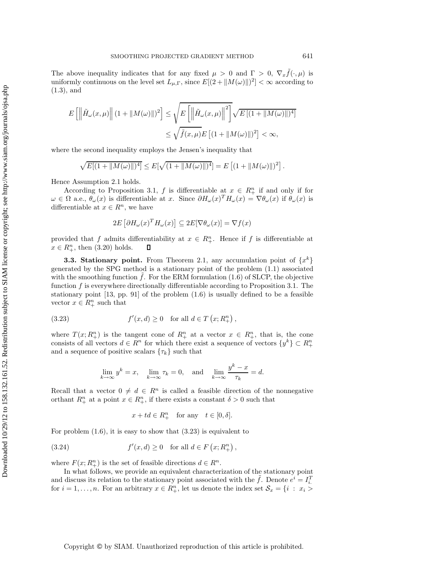The above inequality indicates that for any fixed  $\mu > 0$  and  $\Gamma > 0$ ,  $\nabla_x f(\cdot, \mu)$  is uniformly continuous on the level set  $L_{\mu,\Gamma}$ , since  $E[(2 + ||M(\omega)||)^2] < \infty$  according to (1.3), and

$$
E\left[\left\|\tilde{H}_{\omega}(x,\mu)\right\|(1+\|M(\omega)\|)^2\right] \leq \sqrt{E\left[\left\|\tilde{H}_{\omega}(x,\mu)\right\|^2\right]}\sqrt{E\left[(1+\|M(\omega)\|)^4\right]}
$$
  

$$
\leq \sqrt{\tilde{f}(x,\mu)}E\left[(1+\|M(\omega)\|)^2\right] < \infty,
$$

where the second inequality employs the Jensen's inequality that

$$
\sqrt{E[(1+\|M(\omega)\|)^4]} \leq E[\sqrt{(1+\|M(\omega)\|)^4}] = E\left[(1+\|M(\omega)\|)^2\right].
$$

Hence Assumption 2.1 holds.

According to Proposition 3.1, f is differentiable at  $x \in R_+^n$  if and only if for  $\omega \in \Omega$  a.e.,  $\theta_{\omega}(x)$  is differentiable at x. Since  $\partial H_{\omega}(x)^{T}H_{\omega}(x) = \nabla \theta_{\omega}(x)$  if  $\theta_{\omega}(x)$  is differentiable at  $x \in \mathbb{R}^n$ , we have

$$
2E\left[\partial H_{\omega}(x)^{T}H_{\omega}(x)\right]\subseteq 2E[\nabla \theta_{\omega}(x)]=\nabla f(x)
$$

provided that f admits differentiability at  $x \in R^n_+$ . Hence if f is differentiable at  $x \in R^n_+$ , then (3.20) holds.  $\Box$ 

**3.3. Stationary point.** From Theorem 2.1, any accumulation point of  $\{x^k\}$ generated by the SPG method is a stationary point of the problem (1.1) associated with the smoothing function  $\hat{f}$ . For the ERM formulation (1.6) of SLCP, the objective function  $f$  is everywhere directionally differentiable according to Proposition 3.1. The stationary point  $[13, pp. 91]$  of the problem  $(1.6)$  is usually defined to be a feasible vector  $x \in \mathbb{R}^n_+$  such that

(3.23) 
$$
f'(x, d) \ge 0
$$
 for all  $d \in T(x; R_+^n)$ ,

where  $T(x; R^n_+)$  is the tangent cone of  $R^n_+$  at a vector  $x \in R^n_+$ , that is, the cone consists of all vectors  $d \in \mathbb{R}^n$  for which there exist a sequence of vectors  $\{y^k\} \subset \mathbb{R}^n_+$ and a sequence of positive scalars  $\{\tau_k\}$  such that

$$
\lim_{k \to \infty} y^k = x, \quad \lim_{k \to \infty} \tau_k = 0, \text{ and } \lim_{k \to \infty} \frac{y^k - x}{\tau_k} = d.
$$

Recall that a vector  $0 \neq d \in R^n$  is called a feasible direction of the nonnegative orthant  $R_+^n$  at a point  $x \in R_+^n$ , if there exists a constant  $\delta > 0$  such that

$$
x + td \in R_+^n \quad \text{for any} \quad t \in [0, \delta].
$$

For problem  $(1.6)$ , it is easy to show that  $(3.23)$  is equivalent to

(3.24) 
$$
f'(x, d) \ge 0
$$
 for all  $d \in F(x; R_+^n)$ ,

where  $F(x; R_{+}^{n})$  is the set of feasible directions  $d \in R^{n}$ .

In what follows, we provide an equivalent characterization of the stationary point and discuss its relation to the stationary point associated with the  $\tilde{f}$ . Denote  $e^i = I_i^T$ . for  $i = 1, \ldots, n$ . For an arbitrary  $x \in R_+^n$ , let us denote the index set  $S_x = \{i : x_i >$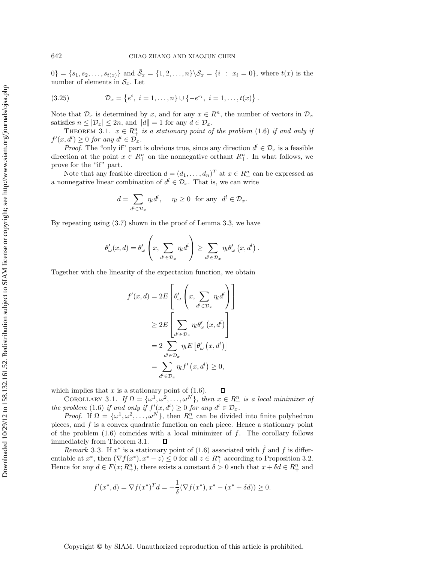$[0] = \{s_1, s_2, \ldots, s_{t(x)}\}$  and  $\bar{S}_x = \{1, 2, \ldots, n\} \setminus S_x = \{i : x_i = 0\}$ , where  $t(x)$  is the number of elements in  $S_x$ . Let

(3.25) 
$$
\mathcal{D}_x = \{e^i, i = 1, ..., n\} \cup \{-e^{s_i}, i = 1, ..., t(x)\}.
$$

Note that  $\mathcal{D}_x$  is determined by x, and for any  $x \in \mathbb{R}^n$ , the number of vectors in  $\mathcal{D}_x$ satisfies  $n \leq |\mathcal{D}_x| \leq 2n$ , and  $||d|| = 1$  for any  $d \in \mathcal{D}_x$ .

THEOREM 3.1.  $x \in R_+^n$  *is a stationary point of the problem* (1.6) *if and only if*  $f'(x, d^l) \geq 0$  for any  $d^l \in \mathcal{D}_x$ .

*Proof.* The "only if" part is obvious true, since any direction  $d^l \in \mathcal{D}_x$  is a feasible direction at the point  $x \in R_+^n$  on the nonnegative orthant  $R_+^n$ . In what follows, we prove for the "if" part.

Note that any feasible direction  $d = (d_1, \ldots, d_n)^T$  at  $x \in R^n_+$  can be expressed as a nonnegative linear combination of  $d^l \in \mathcal{D}_x$ . That is, we can write

$$
d = \sum_{d^l \in \mathcal{D}_x} \eta_l d^l, \quad \eta_l \ge 0 \text{ for any } d^l \in \mathcal{D}_x.
$$

By repeating using (3.7) shown in the proof of Lemma 3.3, we have

$$
\theta'_{\omega}(x,d) = \theta'_{\omega}\left(x, \sum_{d^l \in \mathcal{D}_x} \eta_l d^l\right) \ge \sum_{d^l \in \mathcal{D}_x} \eta_l \theta'_{\omega}\left(x, d^l\right).
$$

Together with the linearity of the expectation function, we obtain

$$
f'(x, d) = 2E\left[\theta'_{\omega}\left(x, \sum_{d^{l} \in \mathcal{D}_{x}} \eta_{l} d^{l}\right)\right]
$$

$$
\geq 2E\left[\sum_{d^{l} \in \mathcal{D}_{x}} \eta_{l} \theta'_{\omega}(x, d^{l})\right]
$$

$$
= 2 \sum_{d^{l} \in \mathcal{D}_{x}} \eta_{l} E\left[\theta'_{\omega}(x, d^{l})\right]
$$

$$
= \sum_{d^{l} \in \mathcal{D}_{x}} \eta_{l} f'(x, d^{l}) \geq 0,
$$

which implies that  $x$  is a stationary point of  $(1.6)$ .  $\Box$ 

COROLLARY 3.1. *If*  $\Omega = {\omega^1, \omega^2, ..., \omega^N}$ *, then*  $x \in R^n_+$  *is a local minimizer of the problem* (1.6) *if and only if*  $f'(x, d^l) \geq 0$  *for any*  $d^l \in \mathcal{D}_x$ .

*Proof.* If  $\Omega = {\omega^1, \omega^2, \ldots, \omega^N}$ , then  $R_+^n$  can be divided into finite polyhedron pieces, and  $f$  is a convex quadratic function on each piece. Hence a stationary point of the problem  $(1.6)$  coincides with a local minimizer of f. The corollary follows immediately from Theorem 3.1.  $\Box$ 

*Remark* 3.3. If  $x^*$  is a stationary point of (1.6) associated with f and f is differentiable at  $x^*$ , then  $(\nabla f(x^*), x^* - z) \leq 0$  for all  $z \in R^n_+$  according to Proposition 3.2. Hence for any  $d \in F(x; R_+^n)$ , there exists a constant  $\delta > 0$  such that  $x + \delta d \in R_+^n$  and

$$
f'(x^*, d) = \nabla f(x^*)^T d = -\frac{1}{\delta}(\nabla f(x^*), x^* - (x^* + \delta d)) \ge 0.
$$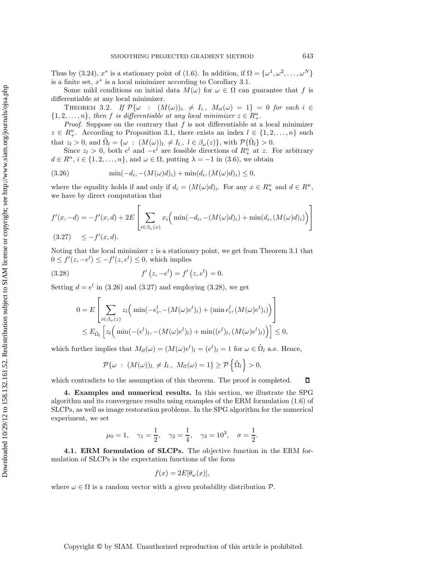Thus by (3.24),  $x^*$  is a stationary point of (1.6). In addition, if  $\Omega = {\omega^1, \omega^2, \dots, \omega^N}$ is a finite set,  $x^*$  is a local minimizer according to Corollary 3.1.

Some mild conditions on initial data  $M(\omega)$  for  $\omega \in \Omega$  can guarantee that f is differentiable at any local minimizer.

THEOREM 3.2. *If*  $\mathcal{P}\{\omega : (M(\omega))_i \neq I_i, M_{ii}(\omega)=1\} = 0$  *for each*  $i \in$  $\{1, 2, \ldots, n\}$ , then f *is differentiable at any local minimizer*  $z \in R^n_+$ .

*Proof.* Suppose on the contrary that  $f$  is not differentiable at a local minimizer  $z \in R_+^n$ . According to Proposition 3.1, there exists an index  $l \in \{1, 2, ..., n\}$  such that  $z_l > 0$ , and  $\tilde{\Omega}_l = \{ \omega : (M(\omega))_l \neq I_l, l \in \beta_\omega(z) \}$ , with  $\mathcal{P}\{\tilde{\Omega}_l\} > 0$ .

Since  $z_l > 0$ , both  $e^l$  and  $-e^{l}$  are feasible directions of  $R^n_+$  at z. For arbitrary  $d \in \mathbb{R}^n, i \in \{1, 2, ..., n\},$  and  $\omega \in \Omega$ , putting  $\lambda = -1$  in (3.6), we obtain

$$
(3.26) \t\t min(-d_i, -(M(\omega)d)_i) + \min(d_i, (M(\omega)d)_i) \le 0,
$$

where the equality holds if and only if  $d_i = (M(\omega)d)_i$ . For any  $x \in R^n_+$  and  $d \in R^n$ , we have by direct computation that

$$
f'(x, -d) = -f'(x, d) + 2E\left[\sum_{i \in \beta_{\omega}(x)} x_i \Big(\min(-d_i, -(M(\omega)d)_i) + \min(d_i, (M(\omega)d)_i)\Big)\right]
$$
  
(3.27)  $\leq -f'(x, d).$ 

Noting that the local minimizer  $z$  is a stationary point, we get from Theorem 3.1 that  $0 \le f'(z, -e^l) \le -f'(z, e^l) \le 0$ , which implies

(3.28) 
$$
f'(z, -e^l) = f'(z, e^l) = 0.
$$

Setting  $d = e^l$  in (3.26) and (3.27) and employing (3.28), we get

$$
0 = E\left[\sum_{i \in \beta_{\omega}(z)} z_i \Big(\min(-e_i^l, -(M(\omega)e^l)_i) + (\min e_i^l, (M(\omega)e^l)_i)\Big)\right]
$$
  

$$
\leq E_{\tilde{\Omega}_l} \left[ z_l \Big(\min(-(e^l)_l, -(M(\omega)e^l)_l) + \min((e^l)_l, (M(\omega)e^l)_l)\Big)\right] \leq 0,
$$

which further implies that  $M_{ll}(\omega) = (M(\omega)e^{l})_{l} = (e^{l})_{l} = 1$  for  $\omega \in \tilde{\Omega}_{l}$  a.e. Hence,

$$
\mathcal{P}\{\omega : (M(\omega))_l \neq I_l, M_{ll}(\omega) = 1\} \geq \mathcal{P}\left\{\tilde{\Omega}_l\right\} > 0,
$$

which contradicts to the assumption of this theorem. The proof is completed.  $\Box$ 

**4. Examples and numerical results.** In this section, we illustrate the SPG algorithm and its convergence results using examples of the ERM formulation (1.6) of SLCPs, as well as image restoration problems. In the SPG algorithm for the numerical experiment, we set

$$
\mu_0 = 1, \quad \gamma_1 = \frac{1}{2}, \quad \gamma_2 = \frac{1}{4}, \quad \gamma_3 = 10^3, \quad \sigma = \frac{1}{2}.
$$

**4.1. ERM formulation of SLCPs.** The objective function in the ERM formulation of SLCPs is the expectation functions of the form

$$
f(x) = 2E[\theta_{\omega}(x)],
$$

where  $\omega \in \Omega$  is a random vector with a given probability distribution  $\mathcal{P}$ .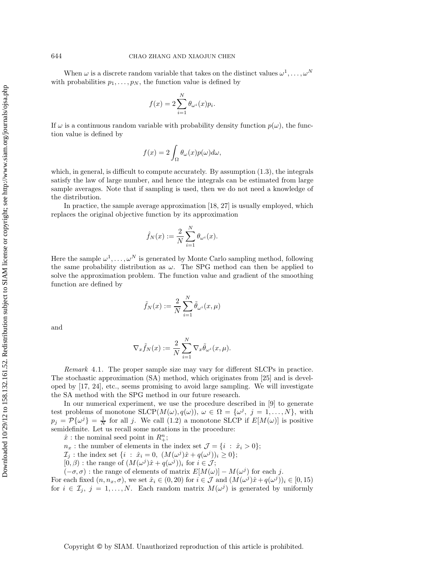When  $\omega$  is a discrete random variable that takes on the distinct values  $\omega^1, \ldots, \omega^N$ with probabilities  $p_1, \ldots, p_N$ , the function value is defined by

$$
f(x) = 2\sum_{i=1}^{N} \theta_{\omega^{i}}(x) p_{i}.
$$

If  $\omega$  is a continuous random variable with probability density function  $p(\omega)$ , the function value is defined by

$$
f(x) = 2 \int_{\Omega} \theta_{\omega}(x) p(\omega) d\omega,
$$

which, in general, is difficult to compute accurately. By assumption (1.3), the integrals satisfy the law of large number, and hence the integrals can be estimated from large sample averages. Note that if sampling is used, then we do not need a knowledge of the distribution.

In practice, the sample average approximation [18, 27] is usually employed, which replaces the original objective function by its approximation

$$
\hat{f}_N(x) := \frac{2}{N} \sum_{i=1}^N \theta_{\omega^i}(x).
$$

Here the sample  $\omega^1, \ldots, \omega^N$  is generated by Monte Carlo sampling method, following the same probability distribution as  $\omega$ . The SPG method can then be applied to solve the approximation problem. The function value and gradient of the smoothing function are defined by

$$
\tilde{f}_N(x) := \frac{2}{N} \sum_{i=1}^N \tilde{\theta}_{\omega^i}(x, \mu)
$$

and

$$
\nabla_x \tilde{f}_N(x) := \frac{2}{N} \sum_{i=1}^N \nabla_x \tilde{\theta}_{\omega^i}(x, \mu).
$$

*Remark* 4.1. The proper sample size may vary for different SLCPs in practice. The stochastic approximation (SA) method, which originates from [25] and is developed by [17, 24], etc., seems promising to avoid large sampling. We will investigate the SA method with the SPG method in our future research.

In our numerical experiment, we use the procedure described in [9] to generate test problems of monotone  $SLCP(M(\omega), q(\omega))$ ,  $\omega \in \Omega = {\omega^{j}}$ ,  $j = 1, ..., N$ , with  $p_j = \mathcal{P}{\omega^j} = \frac{1}{N}$  for all j. We call (1.2) a monotone SLCP if  $E[M(\omega)]$  is positive semidefinite. Let us recall some notations in the procedure:

 $\hat{x}$ : the nominal seed point in  $R^n_+$ ;

 $n_x$ : the number of elements in the index set  $\mathcal{J} = \{i : \hat{x}_i > 0\};$ 

 $\mathcal{I}_j$ : the index set  $\{i : \hat{x}_i = 0, (M(\omega^j)\hat{x} + q(\omega^j))_i \geq 0\};$ 

 $[0,\beta)$ : the range of  $(M(\omega^j)\hat{x} + q(\omega^j))_i$  for  $i \in \mathcal{J}$ ;

 $(-\sigma, \sigma)$ : the range of elements of matrix  $E[M(\omega)] - M(\omega^{j})$  for each j.

For each fixed  $(n, n_x, \sigma)$ , we set  $\hat{x}_i \in (0, 20)$  for  $i \in \mathcal{J}$  and  $(M(\omega^j)\hat{x} + q(\omega^j))_i \in [0, 15)$ for  $i \in \mathcal{I}_j$ ,  $j = 1, \ldots, N$ . Each random matrix  $M(\omega^j)$  is generated by uniformly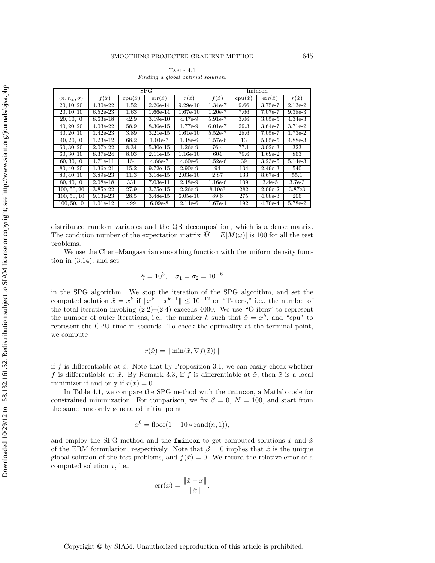## SMOOTHING PROJECTED GRADIENT METHOD 645

TABLE  $4.1$ Finding a global optimal solution.

|                  | SPG            |                  |                  |                | fmincon        |                  |                  |                |
|------------------|----------------|------------------|------------------|----------------|----------------|------------------|------------------|----------------|
| $n, n_x, \sigma$ | $f(\tilde{x})$ | $cpu(\tilde{x})$ | $err(\tilde{x})$ | $r(\tilde{x})$ | $f(\check{x})$ | $cpu(\check{x})$ | $err(\check{x})$ | $r(\check{x})$ |
| 20, 10, 20       | $4.30e-22$     | 1.52             | $2.26e-14$       | $9.29e-10$     | $1.34e-7$      | 9.66             | 3.75e-7          | $2.13e-2$      |
| 20, 10, 10       | $6.52e-23$     | 1.63             | 1.66e-14         | $1.67e-10$     | $1.20e-7$      | 7.66             | 7.07e-7          | $9.38e-3$      |
| 20, 10, 0        | 8.63e-18       | 42.9             | $3.19e-10$       | $4.47e-9$      | $5.91e-7$      | 3.06             | $3.05e-5$        | $4.34e-3$      |
| 40, 20, 20       | $4.03e-22$     | 58.9             | 8.36e-15         | 1.77e-9        | $6.01e-7$      | 29.3             | $3.64e-7$        | 3.71e-2        |
| 40, 20, 10       | $1.42e-23$     | 3.89             | $3.21e-15$       | $1.61e-10$     | $5.52e-7$      | 28.6             | $7.05e-7$        | $1.73e-2$      |
| 40, 20, 0        | $1.23e-12$     | 68.2             | $1.04e-7$        | $1.48e-6$      | $1.57e-6$      | 13               | $5.05e-5$        | $4.88e-3$      |
| 60, 30, 20       | $2.07e-22$     | 8.34             | $5.30e-15$       | $1.26e-9$      | 76.4           | 77.1             | $3.02e-3$        | 323            |
| 60, 30, 10       | 8.37e-24       | 8.03             | $2.11e-15$       | $1.16e-10$     | 604            | 79.6             | $1.69e-2$        | 863            |
| 60, 30, 0        | 4.71e-11       | 154              | $4.66e-7$        | $4.60e-6$      | $1.52e-6$      | 39               | $3.23e-5$        | $5.14e-3$      |
| 80, 40, 20       | 1.36e-21       | 15.2             | $9.72e-15$       | $2.90e-9$      | 94             | 134              | $2.49e-3$        | 540            |
| 80, 40, 10       | 3.89e-23       | 11.3             | $3.18e-15$       | $2.03e-10$     | 2.87           | 133              | 8.67e-4          | 55.1           |
| 80, 40, 0        | $2.08e-18$     | 331              | $7.03e-11$       | 2.48e-9        | $1.16e-6$      | 109              | $3.4e-5$         | $3.7e-3$       |
| 100, 50, 20      | 3.85e-22       | 27.9             | $3.75e-15$       | $2.26e-9$      | 8.19e3         | 282              | $2.09e-2$        | 3.87e3         |
| 100, 50, 10      | $9.13e-23$     | 28.5             | $3.48e-15$       | $6.05e-10$     | 89.6           | 275              | $4.08e-3$        | 206            |
| 100, 50, 0       | 1.01e-12       | 499              | $6.09e-8$        | $2.14e-6$      | $1.67e-4$      | 192              | $4.70e-4$        | 5.78e-2        |

distributed random variables and the QR decomposition, which is a dense matrix. The condition number of the expectation matrix  $\overline{M} = E[M(\omega)]$  is 100 for all the test problems.

We use the Chen–Mangasarian smoothing function with the uniform density function in (3.14), and set

$$
\hat{\gamma} = 10^3
$$
,  $\sigma_1 = \sigma_2 = 10^{-6}$ 

in the SPG algorithm. We stop the iteration of the SPG algorithm, and set the computed solution  $\tilde{x} = x^k$  if  $||x^k - x^{k-1}|| \le 10^{-12}$  or "T-iters," i.e., the number of the total iteration invoking  $(2.2)$ – $(2.4)$  exceeds 4000. We use "O-iters" to represent the number of outer iterations, i.e., the number k such that  $\tilde{x} = x^k$ , and "cpu" to represent the CPU time in seconds. To check the optimality at the terminal point, we compute

$$
r(\tilde{x}) = ||\min(\tilde{x}, \nabla f(\tilde{x}))||
$$

if f is differentiable at  $\tilde{x}$ . Note that by Proposition 3.1, we can easily check whether f is differentiable at  $\tilde{x}$ . By Remark 3.3, if f is differentiable at  $\tilde{x}$ , then  $\tilde{x}$  is a local minimizer if and only if  $r(\tilde{x}) = 0$ .

In Table 4.1, we compare the SPG method with the fmincon, a Matlab code for constrained minimization. For comparison, we fix  $\beta = 0$ ,  $N = 100$ , and start from the same randomly generated initial point

$$
x^0 = \text{floor}(1 + 10 * \text{rand}(n, 1)),
$$

and employ the SPG method and the finition to get computed solutions  $\tilde{x}$  and  $\tilde{x}$ of the ERM formulation, respectively. Note that  $\beta = 0$  implies that  $\hat{x}$  is the unique global solution of the test problems, and  $f(\hat{x}) = 0$ . We record the relative error of a computed solution  $x$ , i.e.,

$$
\text{err}(x) = \frac{\|\hat{x} - x\|}{\|\hat{x}\|}.
$$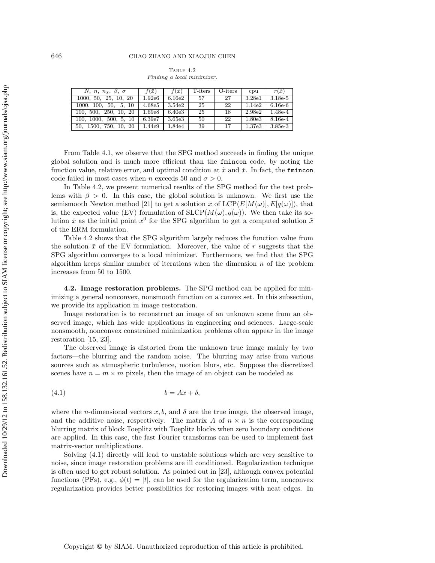| TABLE 4.2 |  |  |                            |  |  |  |  |
|-----------|--|--|----------------------------|--|--|--|--|
|           |  |  | Finding a local minimizer. |  |  |  |  |

| N, n, $n_x$ , $\beta$ , $\sigma$ | $f(\bar{x})$ | $f(\tilde{x})$     | T-iters | O-iters | cpu    | $r(\tilde{x})$ |
|----------------------------------|--------------|--------------------|---------|---------|--------|----------------|
| 1000, 50, 25, 10, 20             | 1.92e6       | 6.16e2             | 57      | 27      | 3.28e1 | $3.18e-5$      |
| 1000, 100, 50, 5, 10             | 4.68e5       | 3.54 <sub>e2</sub> | 25      | 22      | 1.14e2 | $6.16e-6$      |
| 100, 500, 250, 10, 20            | 1.69e8       | 6.40e3             | 25      | 18      | 2.98e2 | 1.48e-4        |
| 100, 1000, 500, 5, 10            | 6.39e7       | 3.65e3             | 50      | 22      | 1.80e3 | 8.16e-4        |
| 50, 1500, 750, 10, 20            | 1.44e9       | 1.84e4             | 39      | 17      | 1.37e3 | 3.85e-3        |

From Table 4.1, we observe that the SPG method succeeds in finding the unique global solution and is much more efficient than the fmincon code, by noting the function value, relative error, and optimal condition at  $\tilde{x}$  and  $\tilde{x}$ . In fact, the fmincon code failed in most cases when n exceeds 50 and  $\sigma > 0$ .

In Table 4.2, we present numerical results of the SPG method for the test problems with  $\beta > 0$ . In this case, the global solution is unknown. We first use the semismooth Newton method [21] to get a solution  $\bar{x}$  of  $LCP(E[M(\omega)], E[q(\omega)])$ , that is, the expected value (EV) formulation of  $SLCP(M(\omega), q(\omega))$ . We then take its solution  $\bar{x}$  as the initial point  $x^0$  for the SPG algorithm to get a computed solution  $\tilde{x}$ of the ERM formulation.

Table 4.2 shows that the SPG algorithm largely reduces the function value from the solution  $\bar{x}$  of the EV formulation. Moreover, the value of r suggests that the SPG algorithm converges to a local minimizer. Furthermore, we find that the SPG algorithm keeps similar number of iterations when the dimension  $n$  of the problem increases from 50 to 1500.

**4.2. Image restoration problems.** The SPG method can be applied for minimizing a general nonconvex, nonsmooth function on a convex set. In this subsection, we provide its application in image restoration.

Image restoration is to reconstruct an image of an unknown scene from an observed image, which has wide applications in engineering and sciences. Large-scale nonsmooth, nonconvex constrained minimization problems often appear in the image restoration [15, 23].

The observed image is distorted from the unknown true image mainly by two factors—the blurring and the random noise. The blurring may arise from various sources such as atmospheric turbulence, motion blurs, etc. Suppose the discretized scenes have  $n = m \times m$  pixels, then the image of an object can be modeled as

$$
(4.1) \t\t b = Ax + \delta,
$$

where the *n*-dimensional vectors  $x, b$ , and  $\delta$  are the true image, the observed image, and the additive noise, respectively. The matrix A of  $n \times n$  is the corresponding blurring matrix of block Toeplitz with Toeplitz blocks when zero boundary conditions are applied. In this case, the fast Fourier transforms can be used to implement fast matrix-vector multiplications.

Solving (4.1) directly will lead to unstable solutions which are very sensitive to noise, since image restoration problems are ill conditioned. Regularization technique is often used to get robust solution. As pointed out in [23], although convex potential functions (PFs), e.g.,  $\phi(t) = |t|$ , can be used for the regularization term, nonconvex regularization provides better possibilities for restoring images with neat edges. In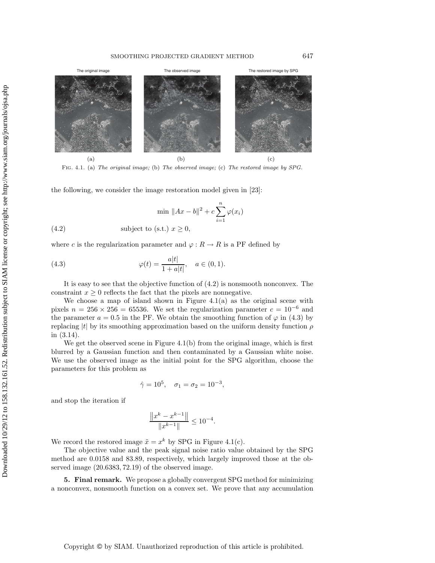

Fig. 4.1. (a) The original image; (b) The observed image; (c) The restored image by SPG.

the following, we consider the image restoration model given in [23]:

$$
\min \|Ax - b\|^2 + c \sum_{i=1}^n \varphi(x_i)
$$

(4.2) subject to (s.t.) 
$$
x \ge 0
$$
,

where c is the regularization parameter and  $\varphi : R \to R$  is a PF defined by

(4.3) 
$$
\varphi(t) = \frac{a|t|}{1 + a|t|}, \quad a \in (0, 1).
$$

It is easy to see that the objective function of (4.2) is nonsmooth nonconvex. The constraint  $x \geq 0$  reflects the fact that the pixels are nonnegative.

We choose a map of island shown in Figure  $4.1(a)$  as the original scene with pixels  $n = 256 \times 256 = 65536$ . We set the regularization parameter  $c = 10^{-6}$  and the parameter  $a = 0.5$  in the PF. We obtain the smoothing function of  $\varphi$  in (4.3) by replacing  $|t|$  by its smoothing approximation based on the uniform density function  $\rho$ in (3.14).

We get the observed scene in Figure 4.1(b) from the original image, which is first blurred by a Gaussian function and then contaminated by a Gaussian white noise. We use the observed image as the initial point for the SPG algorithm, choose the parameters for this problem as

$$
\hat{\gamma} = 10^5
$$
,  $\sigma_1 = \sigma_2 = 10^{-3}$ ,

and stop the iteration if

$$
\frac{\|x^k - x^{k-1}\|}{\|x^{k-1}\|} \le 10^{-4}.
$$

We record the restored image  $\tilde{x} = x^k$  by SPG in Figure 4.1(c).

The objective value and the peak signal noise ratio value obtained by the SPG method are 0.0158 and 83.89, respectively, which largely improved those at the observed image (20.6383, 72.19) of the observed image.

**5. Final remark.** We propose a globally convergent SPG method for minimizing a nonconvex, nonsmooth function on a convex set. We prove that any accumulation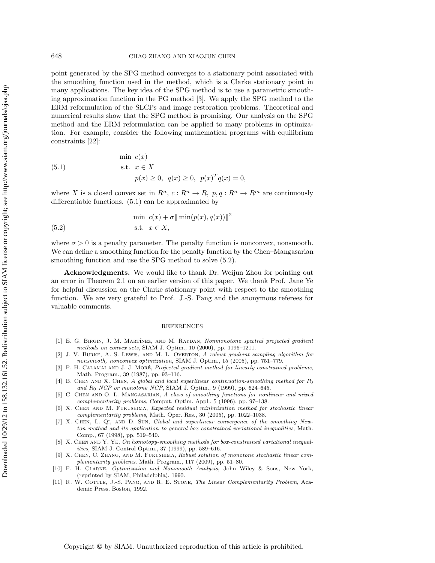point generated by the SPG method converges to a stationary point associated with the smoothing function used in the method, which is a Clarke stationary point in many applications. The key idea of the SPG method is to use a parametric smoothing approximation function in the PG method [3]. We apply the SPG method to the ERM reformulation of the SLCPs and image restoration problems. Theoretical and numerical results show that the SPG method is promising. Our analysis on the SPG method and the ERM reformulation can be applied to many problems in optimization. For example, consider the following mathematical programs with equilibrium constraints [22]:

(5.1) 
$$
\begin{aligned}\n\min \ c(x) \\
\text{s.t. } &x \in X \\
& p(x) \ge 0, \ q(x) \ge 0, \ p(x)^T q(x) = 0,\n\end{aligned}
$$

where X is a closed convex set in  $R^n$ ,  $c: R^n \to R$ ,  $p, q: R^n \to R^m$  are continuously differentiable functions. (5.1) can be approximated by

$$
\min \ c(x) + \sigma \|\min(p(x), q(x))\|^2
$$
\n
$$
\text{s.t. } x \in X,
$$

where  $\sigma > 0$  is a penalty parameter. The penalty function is nonconvex, nonsmooth. We can define a smoothing function for the penalty function by the Chen–Mangasarian smoothing function and use the SPG method to solve  $(5.2)$ .

**Acknowledgments.** We would like to thank Dr. Weijun Zhou for pointing out an error in Theorem 2.1 on an earlier version of this paper. We thank Prof. Jane Ye for helpful discussion on the Clarke stationary point with respect to the smoothing function. We are very grateful to Prof. J.-S. Pang and the anonymous referees for valuable comments.

## REFERENCES

- [1] E. G. BIRGIN, J. M. MARTÍNEZ, AND M. RAYDAN, Nonmonotone spectral projected gradient methods on convex sets, SIAM J. Optim., 10 (2000), pp. 1196–1211.
- [2] J. V. Burke, A. S. Lewis, and M. L. Overton, A robust gradient sampling algorithm for nonsmooth, nonconvex optimization, SIAM J. Optim., 15 (2005), pp. 751–779.
- [3] P. H. CALAMAI AND J. J. MORÉ, Projected gradient method for linearly constrained problems, Math. Program., 39 (1987), pp. 93–116.
- [4] B. CHEN AND X. CHEN, A global and local superlinear continuation-smoothing method for  $P_0$ and  $R_0$  NCP or monotone NCP, SIAM J. Optim., 9 (1999), pp. 624-645.
- [5] C. Chen and O. L. Mangasarian, A class of smoothing functions for nonlinear and mixed complementarity problems, Comput. Optim. Appl., 5 (1996), pp. 97–138.
- [6] X. Chen and M. Fukushima, Expected residual minimization method for stochastic linear complementarity problems, Math. Oper. Res., 30 (2005), pp. 1022–1038.
- [7] X. Chen, L. Qi, and D. Sun, Global and superlinear convergence of the smoothing Newton method and its application to general box constrained variational inequalities, Math. Comp., 67 (1998), pp. 519–540.
- [8] X. Chen and Y. Ye, On homotopy-smoothing methods for box-constrained variational inequalities, SIAM J. Control Optim., 37 (1999), pp. 589–616.
- [9] X. Chen, C. Zhang, and M. Fukushima, Robust solution of monotone stochastic linear complementarity problems, Math. Program., 117 (2009), pp. 51–80.
- [10] F. H. Clarke, Optimization and Nonsmooth Analysis, John Wiley & Sons, New York, (reprinted by SIAM, Philadelphia), 1990.
- [11] R. W. COTTLE, J.-S. PANG, AND R. E. STONE, The Linear Complementarity Problem, Academic Press, Boston, 1992.